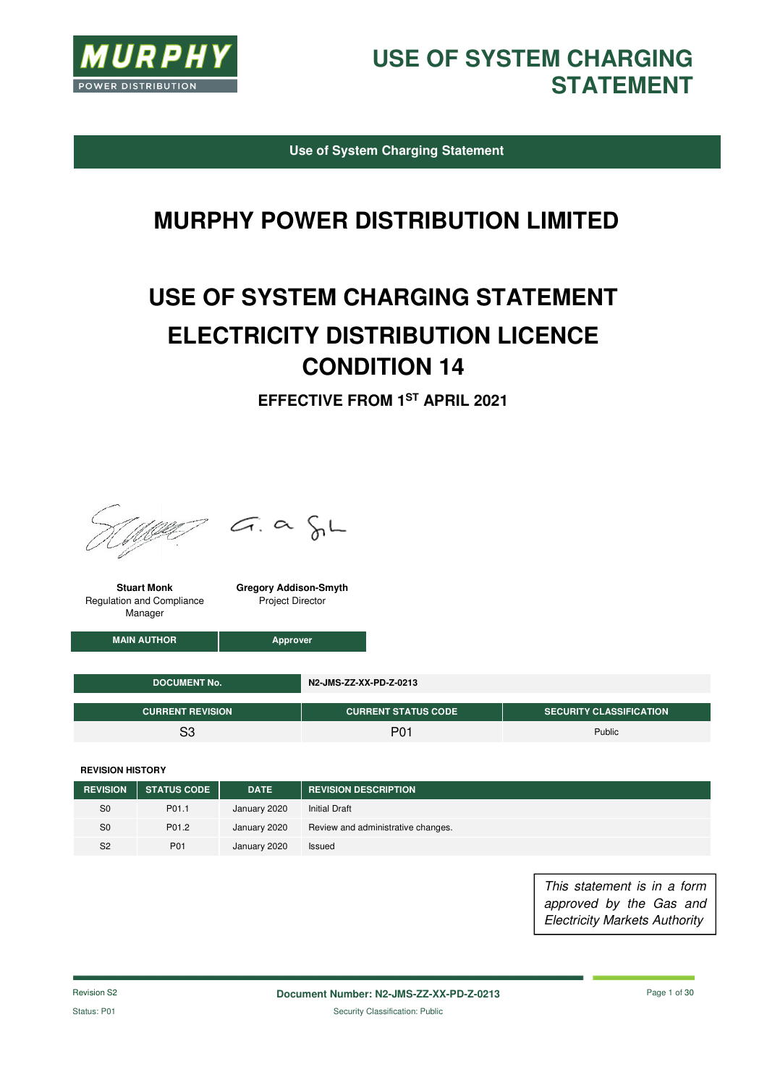

**Use of System Charging Statement** 

# **MURPHY POWER DISTRIBUTION LIMITED**

# **USE OF SYSTEM CHARGING STATEMENT ELECTRICITY DISTRIBUTION LICENCE CONDITION 14**

**EFFECTIVE FROM 1ST APRIL 2021**



 $G. \alpha \in L$ 

**Stuart Monk**  Regulation and Compliance Manager

**Gregory Addison-Smyth**  Project Director

**MAIN AUTHOR Approver** 

| <b>DOCUMENT No.</b>     | N2-JMS-ZZ-XX-PD-Z-0213     |                                |  |  |
|-------------------------|----------------------------|--------------------------------|--|--|
| <b>CURRENT REVISION</b> | <b>CURRENT STATUS CODE</b> | <b>SECURITY CLASSIFICATION</b> |  |  |
| ຊ                       | P01                        | Public                         |  |  |

**REVISION HISTORY**

| <b>REVISION</b> | <b>STATUS CODE</b> | <b>DATE</b>  | <b>REVISION DESCRIPTION</b>        |
|-----------------|--------------------|--------------|------------------------------------|
| S <sub>0</sub>  | P01.1              | January 2020 | <b>Initial Draft</b>               |
| S <sub>0</sub>  | P01.2              | January 2020 | Review and administrative changes. |
| S <sub>2</sub>  | P01                | January 2020 | Issued                             |

This statement is in a form approved by the Gas and Electricity Markets Authority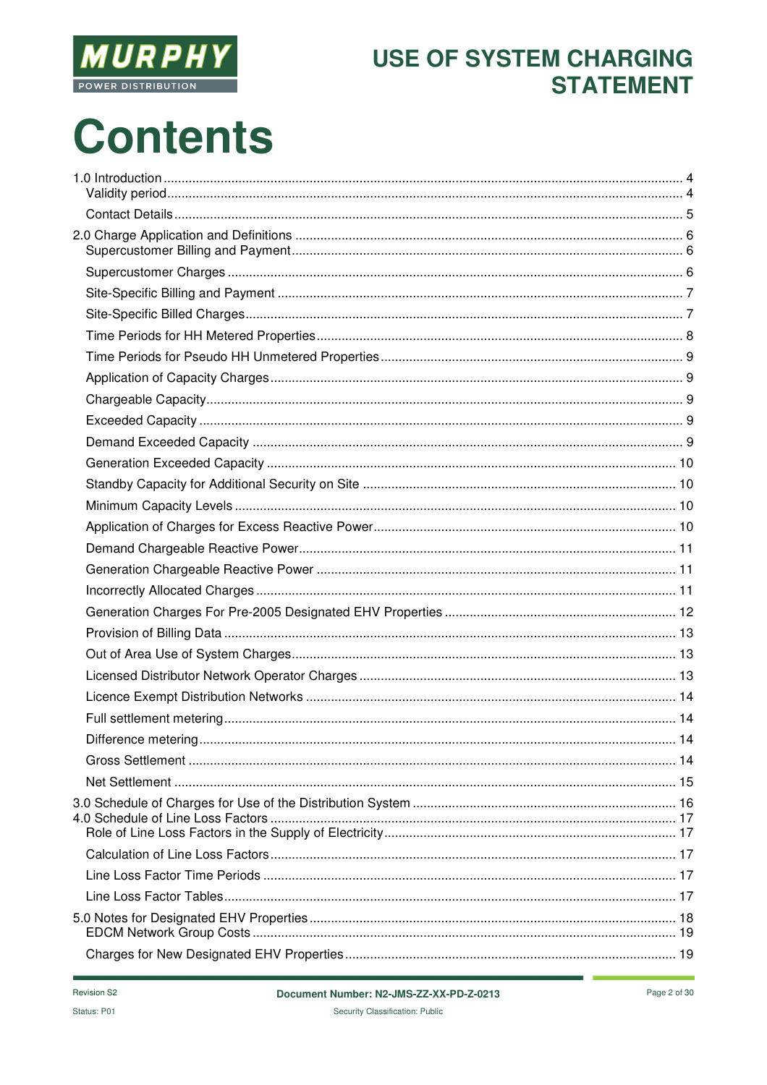

# **Contents**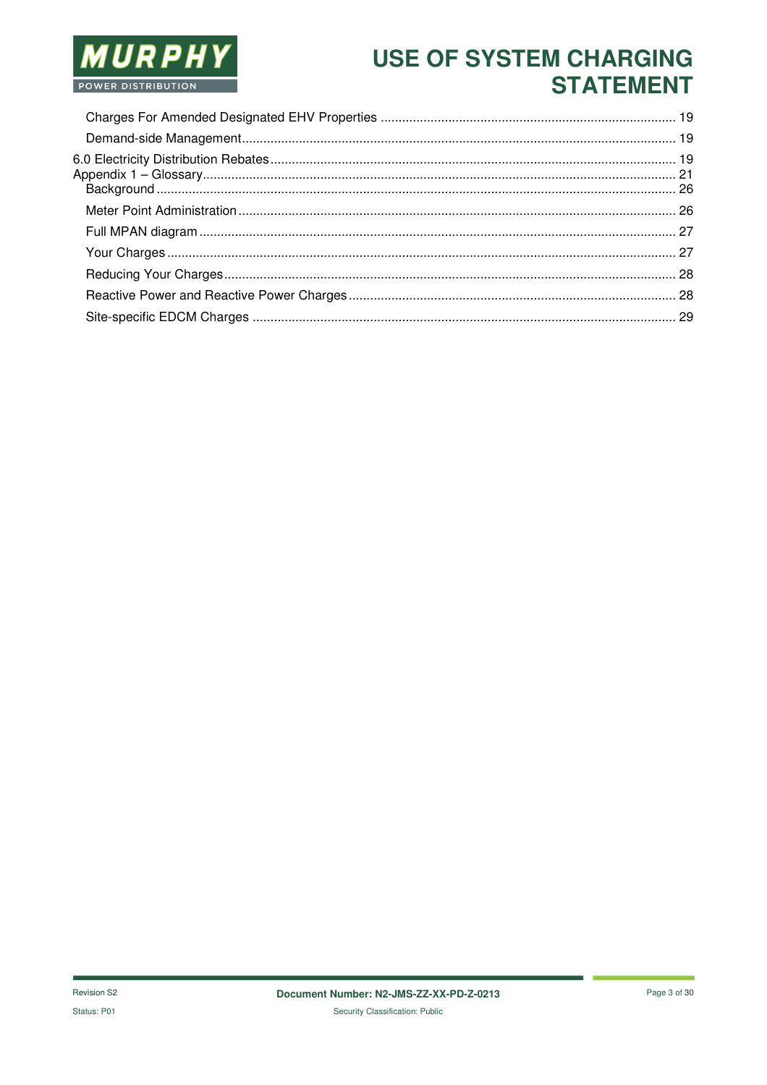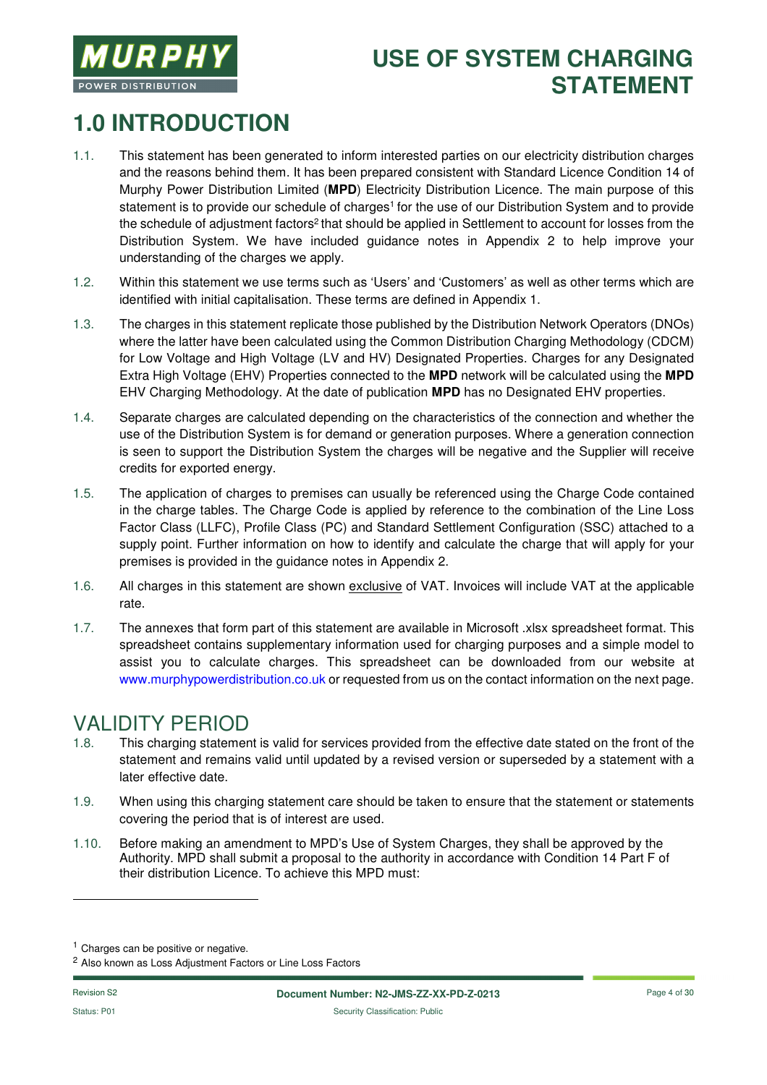

# **1.0 INTRODUCTION**

- 1.1. This statement has been generated to inform interested parties on our electricity distribution charges and the reasons behind them. It has been prepared consistent with Standard Licence Condition 14 of Murphy Power Distribution Limited (**MPD**) Electricity Distribution Licence. The main purpose of this statement is to provide our schedule of charges<sup>1</sup> for the use of our Distribution System and to provide the schedule of adjustment factors<sup>2</sup> that should be applied in Settlement to account for losses from the Distribution System. We have included guidance notes in Appendix 2 to help improve your understanding of the charges we apply.
- 1.2. Within this statement we use terms such as 'Users' and 'Customers' as well as other terms which are identified with initial capitalisation. These terms are defined in Appendix 1.
- 1.3. The charges in this statement replicate those published by the Distribution Network Operators (DNOs) where the latter have been calculated using the Common Distribution Charging Methodology (CDCM) for Low Voltage and High Voltage (LV and HV) Designated Properties. Charges for any Designated Extra High Voltage (EHV) Properties connected to the **MPD** network will be calculated using the **MPD** EHV Charging Methodology. At the date of publication **MPD** has no Designated EHV properties.
- 1.4. Separate charges are calculated depending on the characteristics of the connection and whether the use of the Distribution System is for demand or generation purposes. Where a generation connection is seen to support the Distribution System the charges will be negative and the Supplier will receive credits for exported energy.
- 1.5. The application of charges to premises can usually be referenced using the Charge Code contained in the charge tables. The Charge Code is applied by reference to the combination of the Line Loss Factor Class (LLFC), Profile Class (PC) and Standard Settlement Configuration (SSC) attached to a supply point. Further information on how to identify and calculate the charge that will apply for your premises is provided in the guidance notes in Appendix 2.
- 1.6. All charges in this statement are shown exclusive of VAT. Invoices will include VAT at the applicable rate.
- 1.7. The annexes that form part of this statement are available in Microsoft .xlsx spreadsheet format. This spreadsheet contains supplementary information used for charging purposes and a simple model to assist you to calculate charges. This spreadsheet can be downloaded from our website at www.murphypowerdistribution.co.uk or requested from us on the contact information on the next page.

# **VALIDITY PERIOD**<br>1.8. This charging statemer

- This charging statement is valid for services provided from the effective date stated on the front of the statement and remains valid until updated by a revised version or superseded by a statement with a later effective date.
- 1.9. When using this charging statement care should be taken to ensure that the statement or statements covering the period that is of interest are used.
- 1.10. Before making an amendment to MPD's Use of System Charges, they shall be approved by the Authority. MPD shall submit a proposal to the authority in accordance with Condition 14 Part F of their distribution Licence. To achieve this MPD must:

-

<sup>&</sup>lt;sup>1</sup> Charges can be positive or negative.

<sup>2</sup> Also known as Loss Adjustment Factors or Line Loss Factors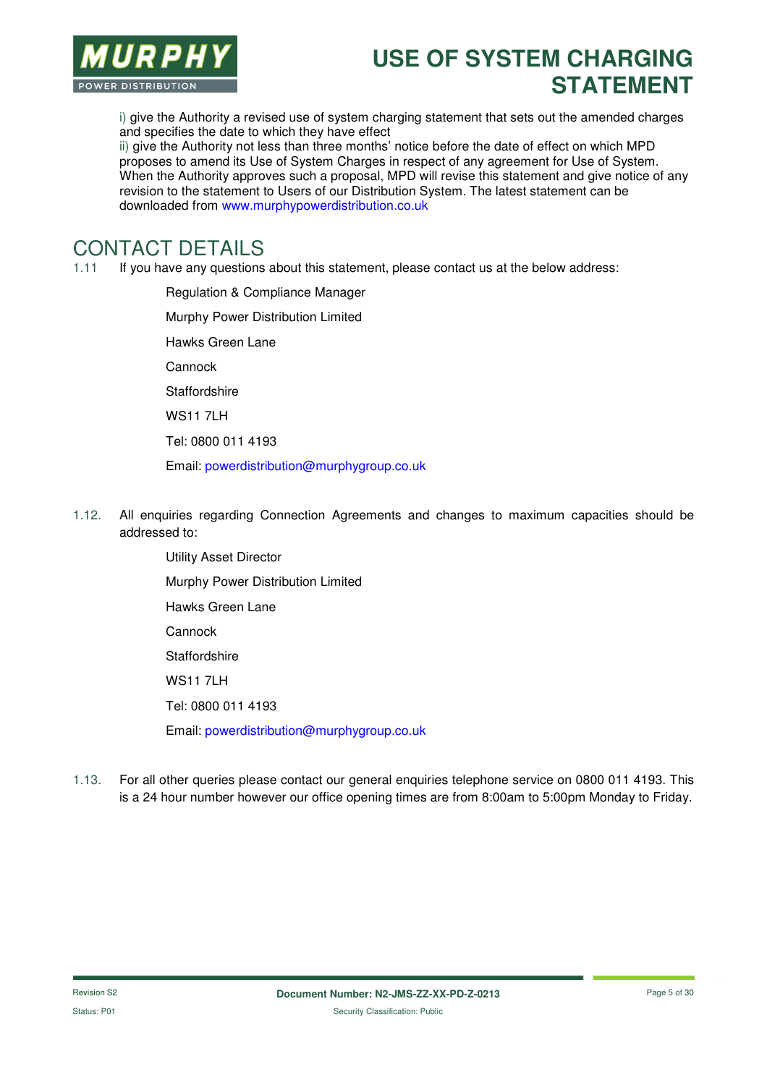

i) give the Authority a revised use of system charging statement that sets out the amended charges and specifies the date to which they have effect

ii) give the Authority not less than three months' notice before the date of effect on which MPD proposes to amend its Use of System Charges in respect of any agreement for Use of System. When the Authority approves such a proposal, MPD will revise this statement and give notice of any revision to the statement to Users of our Distribution System. The latest statement can be downloaded from www.murphypowerdistribution.co.uk

#### CONTACT DETAILS

1.11 If you have any questions about this statement, please contact us at the below address:

Regulation & Compliance Manager Murphy Power Distribution Limited Hawks Green Lane Cannock **Staffordshire** WS11 7LH Tel: 0800 011 4193 Email: powerdistribution@murphygroup.co.uk

- 1.12. All enquiries regarding Connection Agreements and changes to maximum capacities should be addressed to:
	- Utility Asset Director Murphy Power Distribution Limited Hawks Green Lane Cannock **Staffordshire** WS11 7LH Tel: 0800 011 4193 Email: powerdistribution@murphygroup.co.uk
- 1.13. For all other queries please contact our general enquiries telephone service on 0800 011 4193. This is a 24 hour number however our office opening times are from 8:00am to 5:00pm Monday to Friday.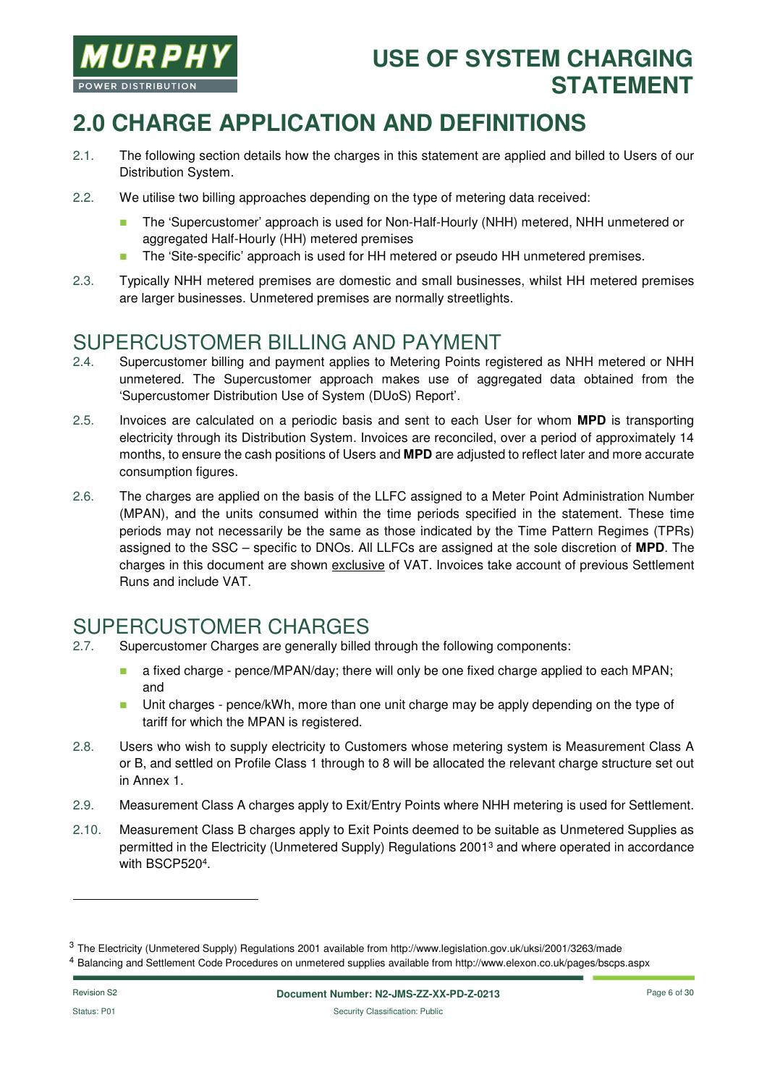

# **2.0 CHARGE APPLICATION AND DEFINITIONS**

- 2.1. The following section details how the charges in this statement are applied and billed to Users of our Distribution System.
- 2.2. We utilise two billing approaches depending on the type of metering data received:
	- The 'Supercustomer' approach is used for Non-Half-Hourly (NHH) metered, NHH unmetered or aggregated Half-Hourly (HH) metered premises
	- The 'Site-specific' approach is used for HH metered or pseudo HH unmetered premises.
- 2.3. Typically NHH metered premises are domestic and small businesses, whilst HH metered premises are larger businesses. Unmetered premises are normally streetlights.

#### SUPERCUSTOMER BILLING AND PAYMENT

- 2.4. Supercustomer billing and payment applies to Metering Points registered as NHH metered or NHH unmetered. The Supercustomer approach makes use of aggregated data obtained from the 'Supercustomer Distribution Use of System (DUoS) Report'.
- 2.5. Invoices are calculated on a periodic basis and sent to each User for whom **MPD** is transporting electricity through its Distribution System. Invoices are reconciled, over a period of approximately 14 months, to ensure the cash positions of Users and **MPD** are adjusted to reflect later and more accurate consumption figures.
- 2.6. The charges are applied on the basis of the LLFC assigned to a Meter Point Administration Number (MPAN), and the units consumed within the time periods specified in the statement. These time periods may not necessarily be the same as those indicated by the Time Pattern Regimes (TPRs) assigned to the SSC – specific to DNOs. All LLFCs are assigned at the sole discretion of **MPD**. The charges in this document are shown exclusive of VAT. Invoices take account of previous Settlement Runs and include VAT.

# SUPERCUSTOMER CHARGES

- 2.7. Supercustomer Charges are generally billed through the following components:
	- **a** a fixed charge pence/MPAN/day; there will only be one fixed charge applied to each MPAN; and
	- **Unit charges pence/kWh, more than one unit charge may be apply depending on the type of** tariff for which the MPAN is registered.
- 2.8. Users who wish to supply electricity to Customers whose metering system is Measurement Class A or B, and settled on Profile Class 1 through to 8 will be allocated the relevant charge structure set out in Annex 1.
- 2.9. Measurement Class A charges apply to Exit/Entry Points where NHH metering is used for Settlement.
- 2.10. Measurement Class B charges apply to Exit Points deemed to be suitable as Unmetered Supplies as permitted in the Electricity (Unmetered Supply) Regulations 2001<sup>3</sup> and where operated in accordance with BSCP520<sup>4</sup> .

-

<sup>&</sup>lt;sup>3</sup> The Electricity (Unmetered Supply) Regulations 2001 available from http://www.legislation.gov.uk/uksi/2001/3263/made

<sup>4</sup> Balancing and Settlement Code Procedures on unmetered supplies available from http://www.elexon.co.uk/pages/bscps.aspx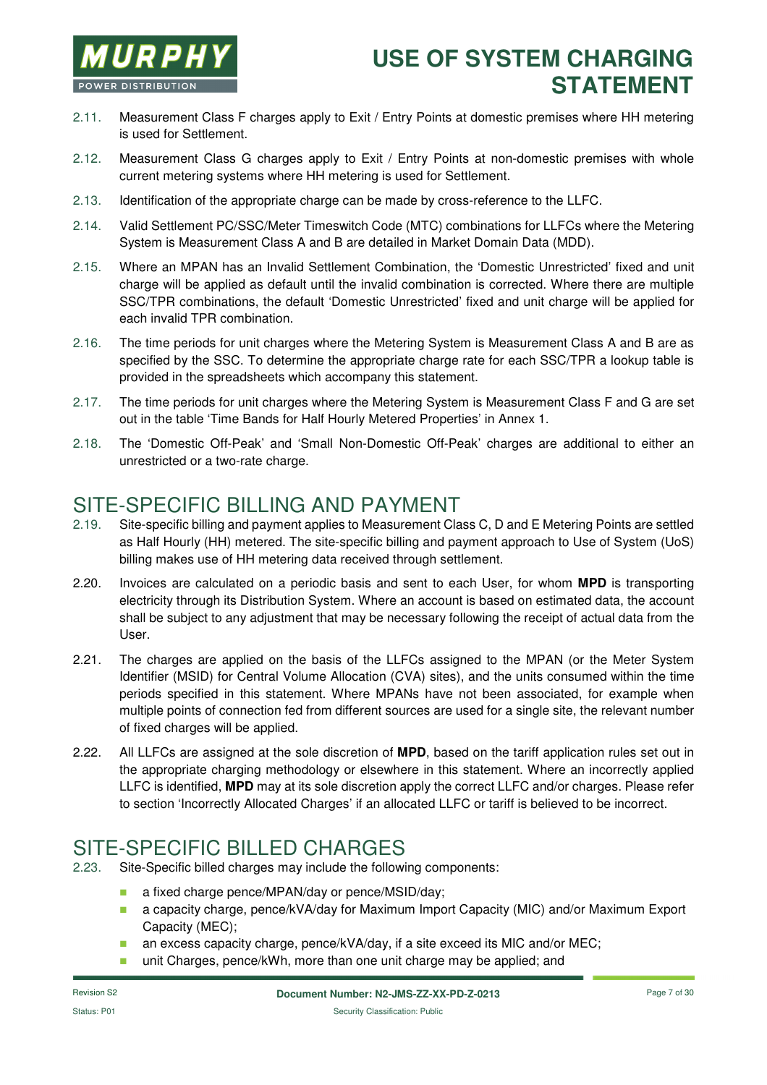

- 2.11. Measurement Class F charges apply to Exit / Entry Points at domestic premises where HH metering is used for Settlement.
- 2.12. Measurement Class G charges apply to Exit / Entry Points at non-domestic premises with whole current metering systems where HH metering is used for Settlement.
- 2.13. Identification of the appropriate charge can be made by cross-reference to the LLFC.
- 2.14. Valid Settlement PC/SSC/Meter Timeswitch Code (MTC) combinations for LLFCs where the Metering System is Measurement Class A and B are detailed in Market Domain Data (MDD).
- 2.15. Where an MPAN has an Invalid Settlement Combination, the 'Domestic Unrestricted' fixed and unit charge will be applied as default until the invalid combination is corrected. Where there are multiple SSC/TPR combinations, the default 'Domestic Unrestricted' fixed and unit charge will be applied for each invalid TPR combination.
- 2.16. The time periods for unit charges where the Metering System is Measurement Class A and B are as specified by the SSC. To determine the appropriate charge rate for each SSC/TPR a lookup table is provided in the spreadsheets which accompany this statement.
- 2.17. The time periods for unit charges where the Metering System is Measurement Class F and G are set out in the table 'Time Bands for Half Hourly Metered Properties' in Annex 1.
- 2.18. The 'Domestic Off-Peak' and 'Small Non-Domestic Off-Peak' charges are additional to either an unrestricted or a two-rate charge.

#### SITE-SPECIFIC BILLING AND PAYMENT

- 2.19. Site-specific billing and payment applies to Measurement Class C, D and E Metering Points are settled as Half Hourly (HH) metered. The site-specific billing and payment approach to Use of System (UoS) billing makes use of HH metering data received through settlement.
- 2.20. Invoices are calculated on a periodic basis and sent to each User, for whom **MPD** is transporting electricity through its Distribution System. Where an account is based on estimated data, the account shall be subject to any adjustment that may be necessary following the receipt of actual data from the User.
- 2.21. The charges are applied on the basis of the LLFCs assigned to the MPAN (or the Meter System Identifier (MSID) for Central Volume Allocation (CVA) sites), and the units consumed within the time periods specified in this statement. Where MPANs have not been associated, for example when multiple points of connection fed from different sources are used for a single site, the relevant number of fixed charges will be applied.
- 2.22. All LLFCs are assigned at the sole discretion of **MPD**, based on the tariff application rules set out in the appropriate charging methodology or elsewhere in this statement. Where an incorrectly applied LLFC is identified, **MPD** may at its sole discretion apply the correct LLFC and/or charges. Please refer to section 'Incorrectly Allocated Charges' if an allocated LLFC or tariff is believed to be incorrect.

### SITE-SPECIFIC BILLED CHARGES

- 2.23. Site-Specific billed charges may include the following components:
	- **a** a fixed charge pence/MPAN/day or pence/MSID/day;
	- a capacity charge, pence/kVA/day for Maximum Import Capacity (MIC) and/or Maximum Export Capacity (MEC);
	- an excess capacity charge, pence/kVA/day, if a site exceed its MIC and/or MEC;
	- unit Charges, pence/kWh, more than one unit charge may be applied; and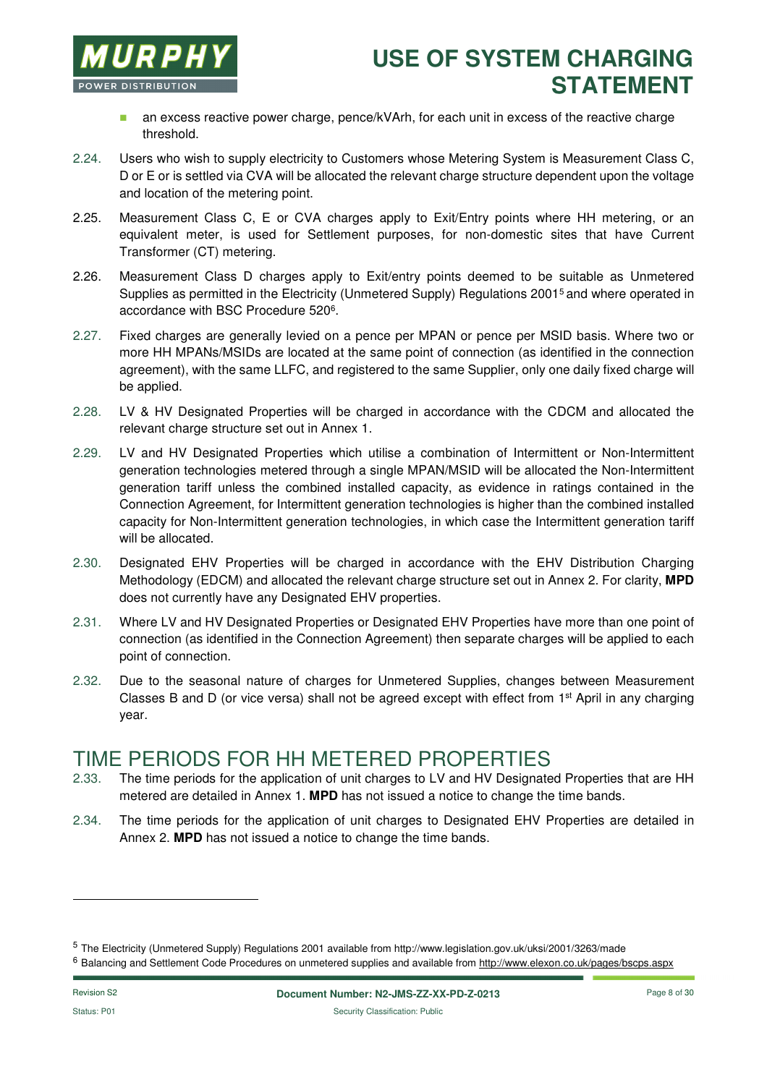

- **a** an excess reactive power charge, pence/kVArh, for each unit in excess of the reactive charge threshold.
- 2.24. Users who wish to supply electricity to Customers whose Metering System is Measurement Class C, D or E or is settled via CVA will be allocated the relevant charge structure dependent upon the voltage and location of the metering point.
- 2.25. Measurement Class C, E or CVA charges apply to Exit/Entry points where HH metering, or an equivalent meter, is used for Settlement purposes, for non-domestic sites that have Current Transformer (CT) metering.
- 2.26. Measurement Class D charges apply to Exit/entry points deemed to be suitable as Unmetered Supplies as permitted in the Electricity (Unmetered Supply) Regulations 2001<sup>5</sup> and where operated in accordance with BSC Procedure 520<sup>6</sup>.
- 2.27. Fixed charges are generally levied on a pence per MPAN or pence per MSID basis. Where two or more HH MPANs/MSIDs are located at the same point of connection (as identified in the connection agreement), with the same LLFC, and registered to the same Supplier, only one daily fixed charge will be applied.
- 2.28. LV & HV Designated Properties will be charged in accordance with the CDCM and allocated the relevant charge structure set out in Annex 1.
- 2.29. LV and HV Designated Properties which utilise a combination of Intermittent or Non-Intermittent generation technologies metered through a single MPAN/MSID will be allocated the Non-Intermittent generation tariff unless the combined installed capacity, as evidence in ratings contained in the Connection Agreement, for Intermittent generation technologies is higher than the combined installed capacity for Non-Intermittent generation technologies, in which case the Intermittent generation tariff will be allocated.
- 2.30. Designated EHV Properties will be charged in accordance with the EHV Distribution Charging Methodology (EDCM) and allocated the relevant charge structure set out in Annex 2. For clarity, **MPD** does not currently have any Designated EHV properties.
- 2.31. Where LV and HV Designated Properties or Designated EHV Properties have more than one point of connection (as identified in the Connection Agreement) then separate charges will be applied to each point of connection.
- 2.32. Due to the seasonal nature of charges for Unmetered Supplies, changes between Measurement Classes B and D (or vice versa) shall not be agreed except with effect from 1st April in any charging year.

#### TIME PERIODS FOR HH METERED PROPERTIES

- 2.33. The time periods for the application of unit charges to LV and HV Designated Properties that are HH metered are detailed in Annex 1. **MPD** has not issued a notice to change the time bands.
- 2.34. The time periods for the application of unit charges to Designated EHV Properties are detailed in Annex 2. **MPD** has not issued a notice to change the time bands.

-

<sup>5</sup> The Electricity (Unmetered Supply) Regulations 2001 available from http://www.legislation.gov.uk/uksi/2001/3263/made

<sup>&</sup>lt;sup>6</sup> Balancing and Settlement Code Procedures on unmetered supplies and available from http://www.elexon.co.uk/pages/bscps.aspx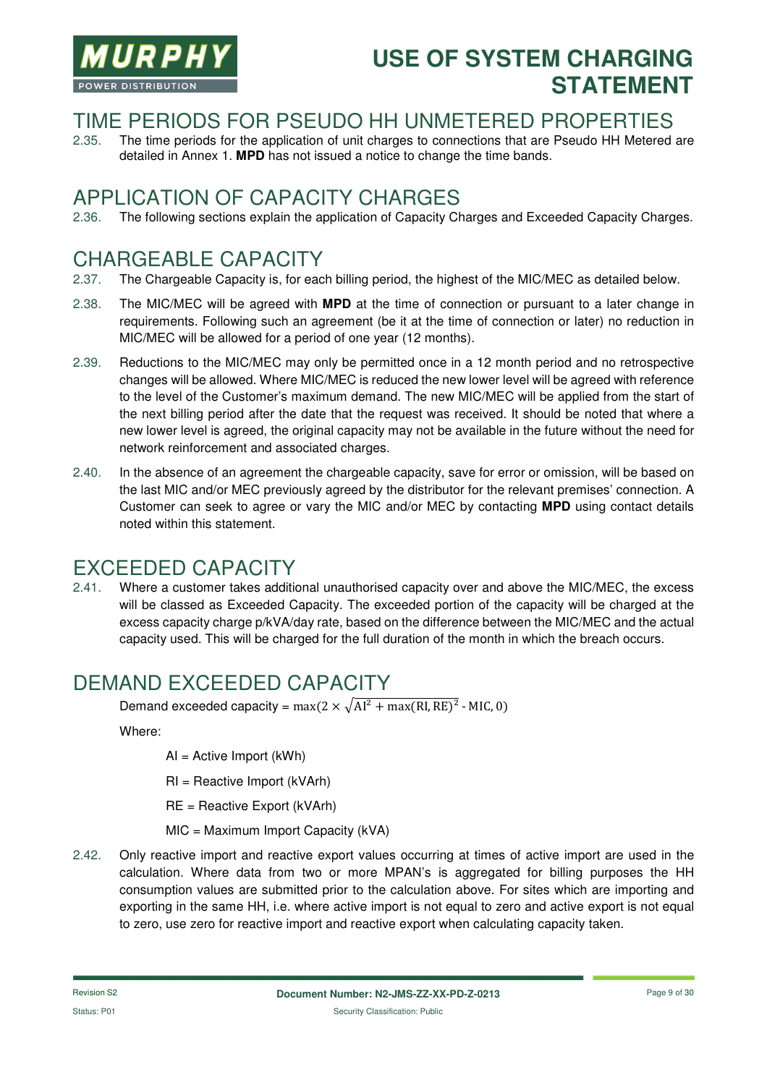

#### TIME PERIODS FOR PSEUDO HH UNMETERED PROPERTIES

2.35. The time periods for the application of unit charges to connections that are Pseudo HH Metered are detailed in Annex 1. **MPD** has not issued a notice to change the time bands.

#### APPLICATION OF CAPACITY CHARGES

2.36. The following sections explain the application of Capacity Charges and Exceeded Capacity Charges.

### CHARGEABLE CAPACITY

- 2.37. The Chargeable Capacity is, for each billing period, the highest of the MIC/MEC as detailed below.
- 2.38. The MIC/MEC will be agreed with **MPD** at the time of connection or pursuant to a later change in requirements. Following such an agreement (be it at the time of connection or later) no reduction in MIC/MEC will be allowed for a period of one year (12 months).
- 2.39. Reductions to the MIC/MEC may only be permitted once in a 12 month period and no retrospective changes will be allowed. Where MIC/MEC is reduced the new lower level will be agreed with reference to the level of the Customer's maximum demand. The new MIC/MEC will be applied from the start of the next billing period after the date that the request was received. It should be noted that where a new lower level is agreed, the original capacity may not be available in the future without the need for network reinforcement and associated charges.
- 2.40. In the absence of an agreement the chargeable capacity, save for error or omission, will be based on the last MIC and/or MEC previously agreed by the distributor for the relevant premises' connection. A Customer can seek to agree or vary the MIC and/or MEC by contacting **MPD** using contact details noted within this statement.

#### EXCEEDED CAPACITY

2.41. Where a customer takes additional unauthorised capacity over and above the MIC/MEC, the excess will be classed as Exceeded Capacity. The exceeded portion of the capacity will be charged at the excess capacity charge p/kVA/day rate, based on the difference between the MIC/MEC and the actual capacity used. This will be charged for the full duration of the month in which the breach occurs.

### DEMAND EXCEEDED CAPACITY

Demand exceeded capacity =  $max(2 \times \sqrt{Al^2 + max(RI, RE)^2})$  - MIC, 0)

Where:

AI = Active Import (kWh)

RI = Reactive Import (kVArh)

RE = Reactive Export (kVArh)

MIC = Maximum Import Capacity (kVA)

2.42. Only reactive import and reactive export values occurring at times of active import are used in the calculation. Where data from two or more MPAN's is aggregated for billing purposes the HH consumption values are submitted prior to the calculation above. For sites which are importing and exporting in the same HH, i.e. where active import is not equal to zero and active export is not equal to zero, use zero for reactive import and reactive export when calculating capacity taken.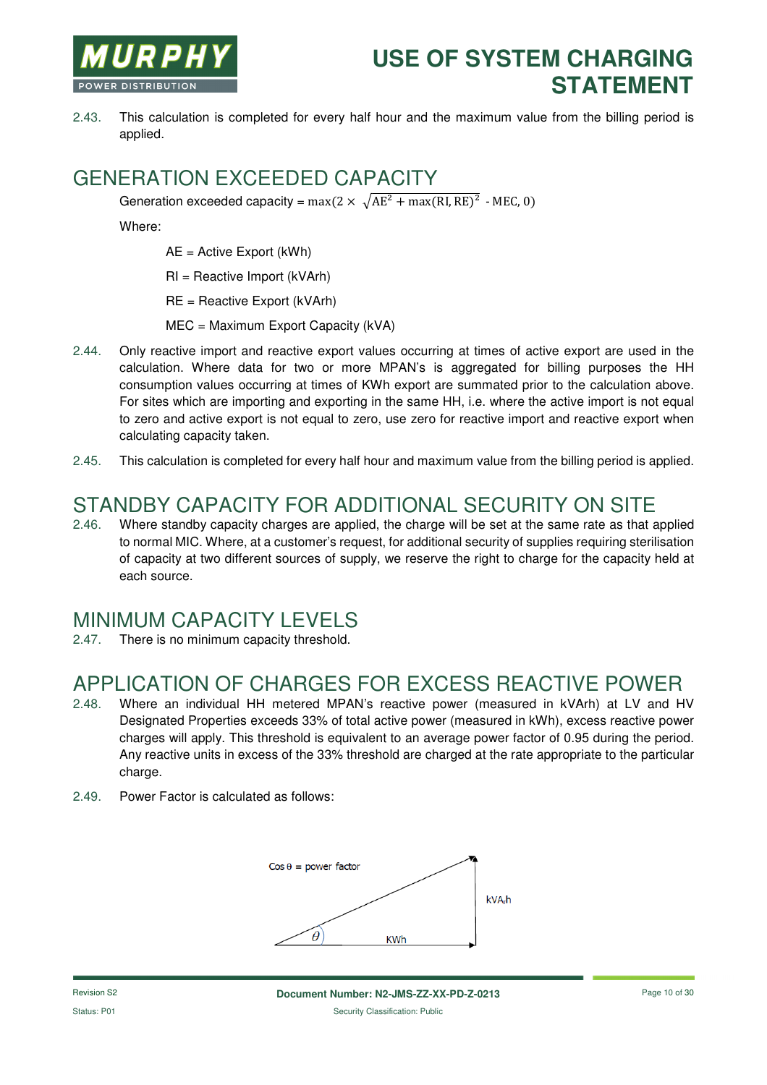

2.43. This calculation is completed for every half hour and the maximum value from the billing period is applied.

#### GENERATION EXCEEDED CAPACITY

Generation exceeded capacity =  $max(2 \times \sqrt{AE^2 + max(RI, RE)^2}$  - MEC, 0)

Where:

AE = Active Export (kWh)

RI = Reactive Import (kVArh)

RE = Reactive Export (kVArh)

MEC = Maximum Export Capacity (kVA)

- 2.44. Only reactive import and reactive export values occurring at times of active export are used in the calculation. Where data for two or more MPAN's is aggregated for billing purposes the HH consumption values occurring at times of KWh export are summated prior to the calculation above. For sites which are importing and exporting in the same HH, i.e. where the active import is not equal to zero and active export is not equal to zero, use zero for reactive import and reactive export when calculating capacity taken.
- 2.45. This calculation is completed for every half hour and maximum value from the billing period is applied.

# STANDBY CAPACITY FOR ADDITIONAL SECURITY ON SITE

2.46. Where standby capacity charges are applied, the charge will be set at the same rate as that applied to normal MIC. Where, at a customer's request, for additional security of supplies requiring sterilisation of capacity at two different sources of supply, we reserve the right to charge for the capacity held at each source.

#### MINIMUM CAPACITY LEVELS

2.47. There is no minimum capacity threshold.

### APPLICATION OF CHARGES FOR EXCESS REACTIVE POWER

- 2.48. Where an individual HH metered MPAN's reactive power (measured in kVArh) at LV and HV Designated Properties exceeds 33% of total active power (measured in kWh), excess reactive power charges will apply. This threshold is equivalent to an average power factor of 0.95 during the period. Any reactive units in excess of the 33% threshold are charged at the rate appropriate to the particular charge.
- 2.49. Power Factor is calculated as follows:

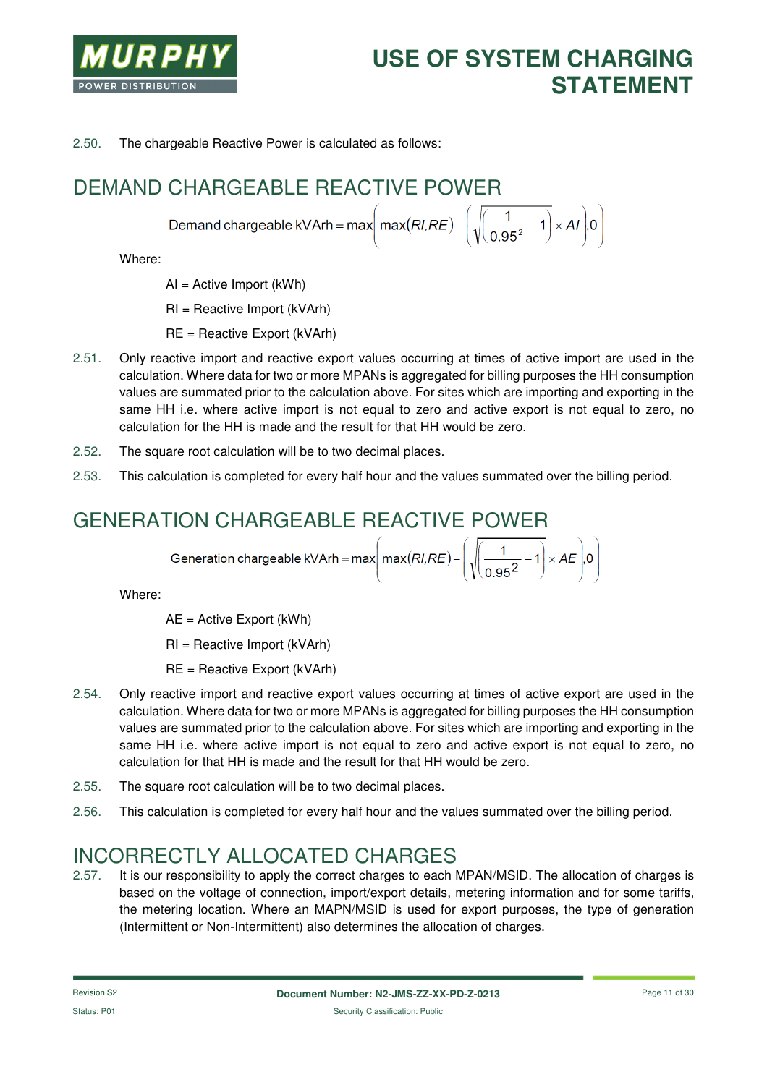

2.50. The chargeable Reactive Power is calculated as follows:

# DEMAND CHARGEABLE REACTIVE POWER

Demand chargeable kVArh = max  $\left(\text{max}(RI,RE) - \left(\sqrt{\left(\frac{1}{0.95^2} - 1\right)} \times AI\right) 0\right)$ 

Where:

AI = Active Import (kWh)

RI = Reactive Import (kVArh)

RE = Reactive Export (kVArh)

- 2.51. Only reactive import and reactive export values occurring at times of active import are used in the calculation. Where data for two or more MPANs is aggregated for billing purposes the HH consumption values are summated prior to the calculation above. For sites which are importing and exporting in the same HH i.e. where active import is not equal to zero and active export is not equal to zero, no calculation for the HH is made and the result for that HH would be zero.
- 2.52. The square root calculation will be to two decimal places.
- 2.53. This calculation is completed for every half hour and the values summated over the billing period.

### GENERATION CHARGEABLE REACTIVE POWER

$$
Generation chargeable KVArh = max \left( max(RI, RE) - \left( \sqrt{\frac{1}{0.95^2} - 1} \right) \times AE \right) .0
$$

Where:

AE = Active Export (kWh)

RI = Reactive Import (kVArh)

- RE = Reactive Export (kVArh)
- 2.54. Only reactive import and reactive export values occurring at times of active export are used in the calculation. Where data for two or more MPANs is aggregated for billing purposes the HH consumption values are summated prior to the calculation above. For sites which are importing and exporting in the same HH i.e. where active import is not equal to zero and active export is not equal to zero, no calculation for that HH is made and the result for that HH would be zero.
- 2.55. The square root calculation will be to two decimal places.
- 2.56. This calculation is completed for every half hour and the values summated over the billing period.

#### INCORRECTLY ALLOCATED CHARGES

2.57. It is our responsibility to apply the correct charges to each MPAN/MSID. The allocation of charges is based on the voltage of connection, import/export details, metering information and for some tariffs, the metering location. Where an MAPN/MSID is used for export purposes, the type of generation (Intermittent or Non-Intermittent) also determines the allocation of charges.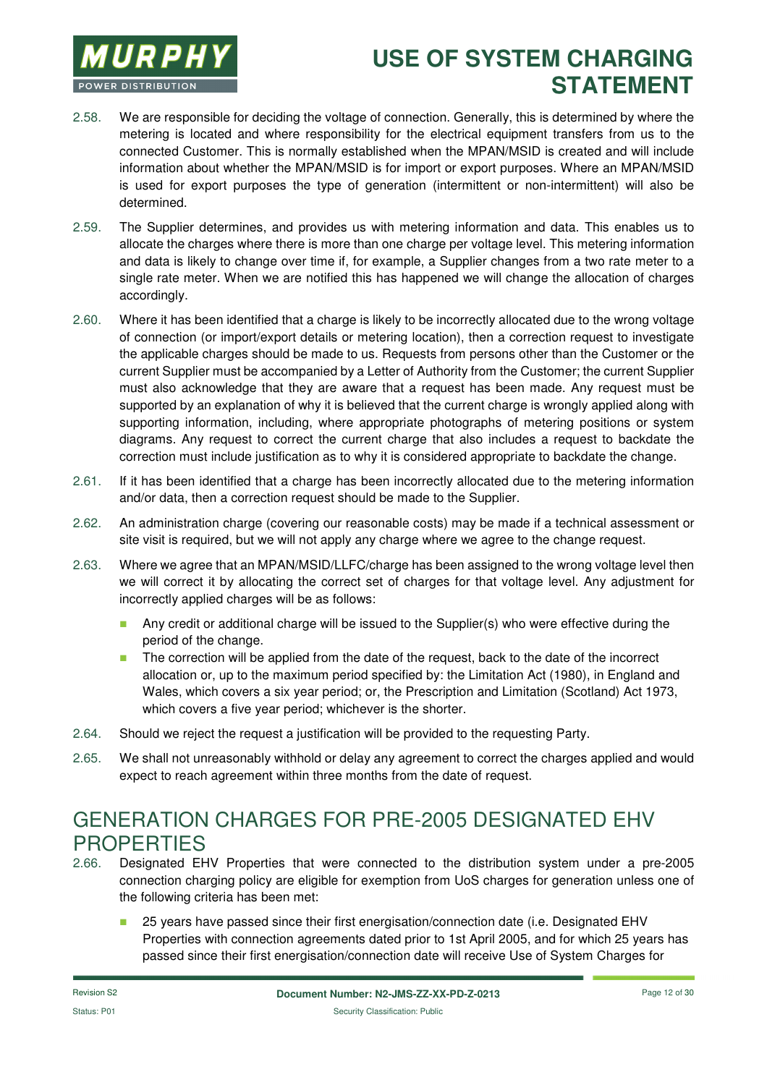

- 2.58. We are responsible for deciding the voltage of connection. Generally, this is determined by where the metering is located and where responsibility for the electrical equipment transfers from us to the connected Customer. This is normally established when the MPAN/MSID is created and will include information about whether the MPAN/MSID is for import or export purposes. Where an MPAN/MSID is used for export purposes the type of generation (intermittent or non-intermittent) will also be determined.
- 2.59. The Supplier determines, and provides us with metering information and data. This enables us to allocate the charges where there is more than one charge per voltage level. This metering information and data is likely to change over time if, for example, a Supplier changes from a two rate meter to a single rate meter. When we are notified this has happened we will change the allocation of charges accordingly.
- 2.60. Where it has been identified that a charge is likely to be incorrectly allocated due to the wrong voltage of connection (or import/export details or metering location), then a correction request to investigate the applicable charges should be made to us. Requests from persons other than the Customer or the current Supplier must be accompanied by a Letter of Authority from the Customer; the current Supplier must also acknowledge that they are aware that a request has been made. Any request must be supported by an explanation of why it is believed that the current charge is wrongly applied along with supporting information, including, where appropriate photographs of metering positions or system diagrams. Any request to correct the current charge that also includes a request to backdate the correction must include justification as to why it is considered appropriate to backdate the change.
- 2.61. If it has been identified that a charge has been incorrectly allocated due to the metering information and/or data, then a correction request should be made to the Supplier.
- 2.62. An administration charge (covering our reasonable costs) may be made if a technical assessment or site visit is required, but we will not apply any charge where we agree to the change request.
- 2.63. Where we agree that an MPAN/MSID/LLFC/charge has been assigned to the wrong voltage level then we will correct it by allocating the correct set of charges for that voltage level. Any adjustment for incorrectly applied charges will be as follows:
	- **Any credit or additional charge will be issued to the Supplier(s) who were effective during the** period of the change.
	- The correction will be applied from the date of the request, back to the date of the incorrect allocation or, up to the maximum period specified by: the Limitation Act (1980), in England and Wales, which covers a six year period; or, the Prescription and Limitation (Scotland) Act 1973, which covers a five year period; whichever is the shorter.
- 2.64. Should we reject the request a justification will be provided to the requesting Party.
- 2.65. We shall not unreasonably withhold or delay any agreement to correct the charges applied and would expect to reach agreement within three months from the date of request.

### GENERATION CHARGES FOR PRE-2005 DESIGNATED EHV **PROPERTIES**

- 2.66. Designated EHV Properties that were connected to the distribution system under a pre-2005 connection charging policy are eligible for exemption from UoS charges for generation unless one of the following criteria has been met:
	- 25 years have passed since their first energisation/connection date (i.e. Designated EHV Properties with connection agreements dated prior to 1st April 2005, and for which 25 years has passed since their first energisation/connection date will receive Use of System Charges for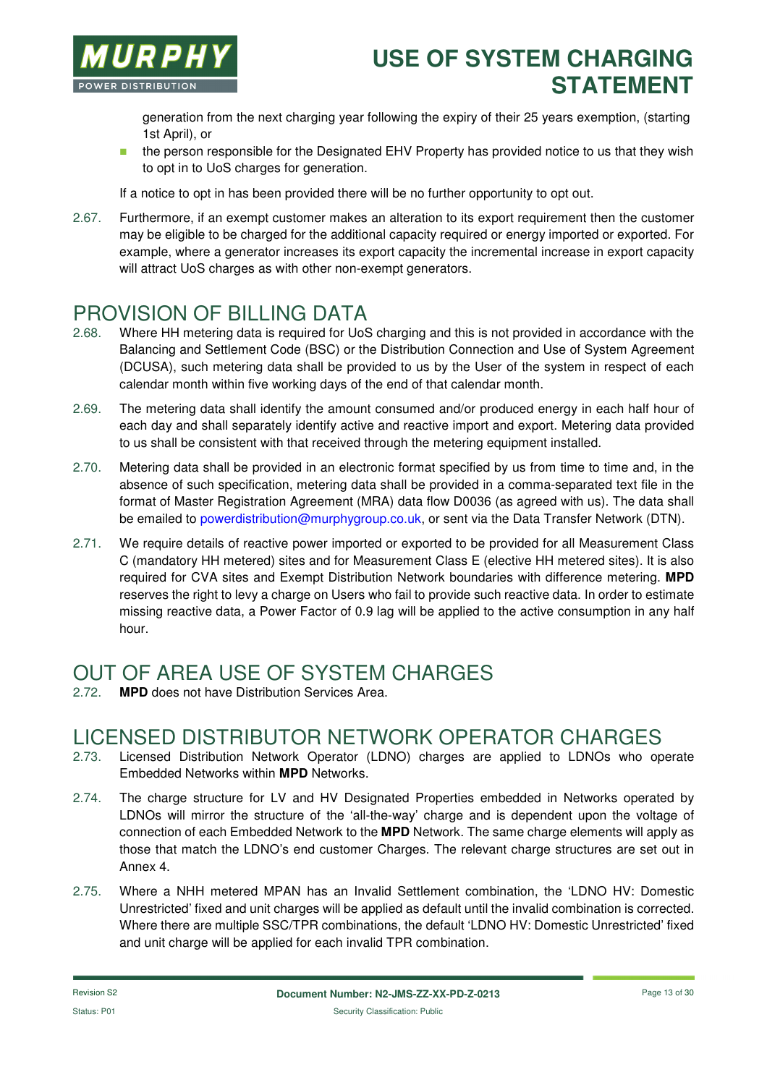

generation from the next charging year following the expiry of their 25 years exemption, (starting 1st April), or

**the person responsible for the Designated EHV Property has provided notice to us that they wish** to opt in to UoS charges for generation.

If a notice to opt in has been provided there will be no further opportunity to opt out.

2.67. Furthermore, if an exempt customer makes an alteration to its export requirement then the customer may be eligible to be charged for the additional capacity required or energy imported or exported. For example, where a generator increases its export capacity the incremental increase in export capacity will attract UoS charges as with other non-exempt generators.

# PROVISION OF BILLING DATA

- 2.68. Where HH metering data is required for UoS charging and this is not provided in accordance with the Balancing and Settlement Code (BSC) or the Distribution Connection and Use of System Agreement (DCUSA), such metering data shall be provided to us by the User of the system in respect of each calendar month within five working days of the end of that calendar month.
- 2.69. The metering data shall identify the amount consumed and/or produced energy in each half hour of each day and shall separately identify active and reactive import and export. Metering data provided to us shall be consistent with that received through the metering equipment installed.
- 2.70. Metering data shall be provided in an electronic format specified by us from time to time and, in the absence of such specification, metering data shall be provided in a comma-separated text file in the format of Master Registration Agreement (MRA) data flow D0036 (as agreed with us). The data shall be emailed to powerdistribution@murphygroup.co.uk, or sent via the Data Transfer Network (DTN).
- 2.71. We require details of reactive power imported or exported to be provided for all Measurement Class C (mandatory HH metered) sites and for Measurement Class E (elective HH metered sites). It is also required for CVA sites and Exempt Distribution Network boundaries with difference metering. **MPD** reserves the right to levy a charge on Users who fail to provide such reactive data. In order to estimate missing reactive data, a Power Factor of 0.9 lag will be applied to the active consumption in any half hour.

# OUT OF AREA USE OF SYSTEM CHARGES

**MPD** does not have Distribution Services Area.

#### LICENSED DISTRIBUTOR NETWORK OPERATOR CHARGES

- 2.73. Licensed Distribution Network Operator (LDNO) charges are applied to LDNOs who operate Embedded Networks within **MPD** Networks.
- 2.74. The charge structure for LV and HV Designated Properties embedded in Networks operated by LDNOs will mirror the structure of the 'all-the-way' charge and is dependent upon the voltage of connection of each Embedded Network to the **MPD** Network. The same charge elements will apply as those that match the LDNO's end customer Charges. The relevant charge structures are set out in Annex 4.
- 2.75. Where a NHH metered MPAN has an Invalid Settlement combination, the 'LDNO HV: Domestic Unrestricted' fixed and unit charges will be applied as default until the invalid combination is corrected. Where there are multiple SSC/TPR combinations, the default 'LDNO HV: Domestic Unrestricted' fixed and unit charge will be applied for each invalid TPR combination.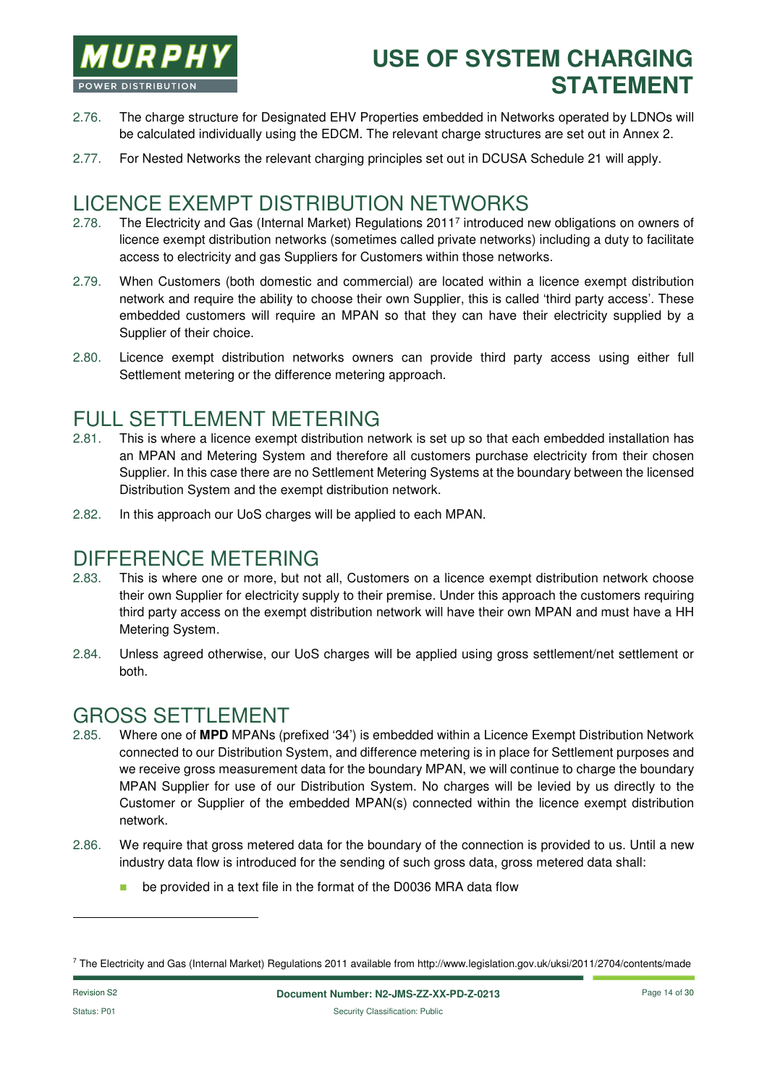

- 2.76. The charge structure for Designated EHV Properties embedded in Networks operated by LDNOs will be calculated individually using the EDCM. The relevant charge structures are set out in Annex 2.
- 2.77. For Nested Networks the relevant charging principles set out in DCUSA Schedule 21 will apply.

#### LICENCE EXEMPT DISTRIBUTION NETWORKS

- 2.78. The Electricity and Gas (Internal Market) Regulations 2011<sup>7</sup> introduced new obligations on owners of licence exempt distribution networks (sometimes called private networks) including a duty to facilitate access to electricity and gas Suppliers for Customers within those networks.
- 2.79. When Customers (both domestic and commercial) are located within a licence exempt distribution network and require the ability to choose their own Supplier, this is called 'third party access'. These embedded customers will require an MPAN so that they can have their electricity supplied by a Supplier of their choice.
- 2.80. Licence exempt distribution networks owners can provide third party access using either full Settlement metering or the difference metering approach.

### FULL SETTLEMENT METERING

- 2.81. This is where a licence exempt distribution network is set up so that each embedded installation has an MPAN and Metering System and therefore all customers purchase electricity from their chosen Supplier. In this case there are no Settlement Metering Systems at the boundary between the licensed Distribution System and the exempt distribution network.
- 2.82. In this approach our UoS charges will be applied to each MPAN.

#### DIFFERENCE METERING

- 2.83. This is where one or more, but not all, Customers on a licence exempt distribution network choose their own Supplier for electricity supply to their premise. Under this approach the customers requiring third party access on the exempt distribution network will have their own MPAN and must have a HH Metering System.
- 2.84. Unless agreed otherwise, our UoS charges will be applied using gross settlement/net settlement or both.

### GROSS SETTLEMENT

- 2.85. Where one of **MPD** MPANs (prefixed '34') is embedded within a Licence Exempt Distribution Network connected to our Distribution System, and difference metering is in place for Settlement purposes and we receive gross measurement data for the boundary MPAN, we will continue to charge the boundary MPAN Supplier for use of our Distribution System. No charges will be levied by us directly to the Customer or Supplier of the embedded MPAN(s) connected within the licence exempt distribution network.
- 2.86. We require that gross metered data for the boundary of the connection is provided to us. Until a new industry data flow is introduced for the sending of such gross data, gross metered data shall:
	- **be provided in a text file in the format of the D0036 MRA data flow**

l

<sup>7</sup> The Electricity and Gas (Internal Market) Regulations 2011 available from http://www.legislation.gov.uk/uksi/2011/2704/contents/made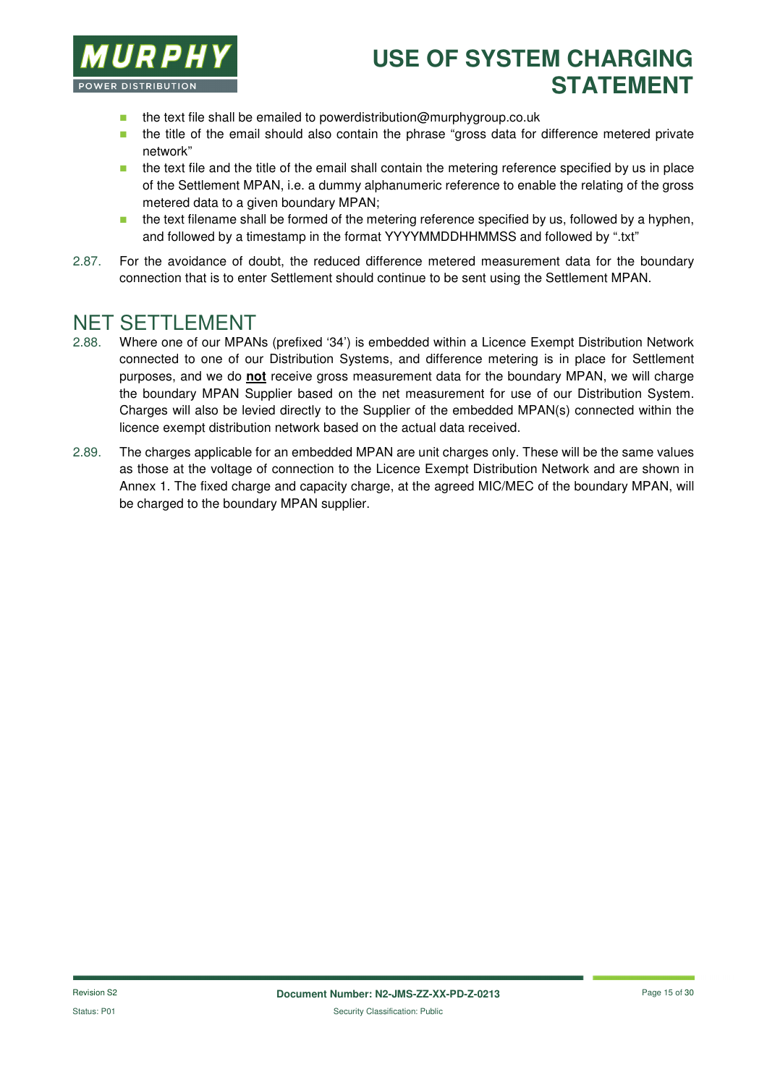

- $\blacksquare$  the text file shall be emailed to powerdistribution@murphygroup.co.uk
- **the title of the email should also contain the phrase "gross data for difference metered private** network"
- **the text file and the title of the email shall contain the metering reference specified by us in place** of the Settlement MPAN, i.e. a dummy alphanumeric reference to enable the relating of the gross metered data to a given boundary MPAN;
- $\blacksquare$  the text filename shall be formed of the metering reference specified by us, followed by a hyphen, and followed by a timestamp in the format YYYYMMDDHHMMSS and followed by ".txt"
- 2.87. For the avoidance of doubt, the reduced difference metered measurement data for the boundary connection that is to enter Settlement should continue to be sent using the Settlement MPAN.

#### NET SETTLEMENT

- 2.88. Where one of our MPANs (prefixed '34') is embedded within a Licence Exempt Distribution Network connected to one of our Distribution Systems, and difference metering is in place for Settlement purposes, and we do **not** receive gross measurement data for the boundary MPAN, we will charge the boundary MPAN Supplier based on the net measurement for use of our Distribution System. Charges will also be levied directly to the Supplier of the embedded MPAN(s) connected within the licence exempt distribution network based on the actual data received.
- 2.89. The charges applicable for an embedded MPAN are unit charges only. These will be the same values as those at the voltage of connection to the Licence Exempt Distribution Network and are shown in Annex 1. The fixed charge and capacity charge, at the agreed MIC/MEC of the boundary MPAN, will be charged to the boundary MPAN supplier.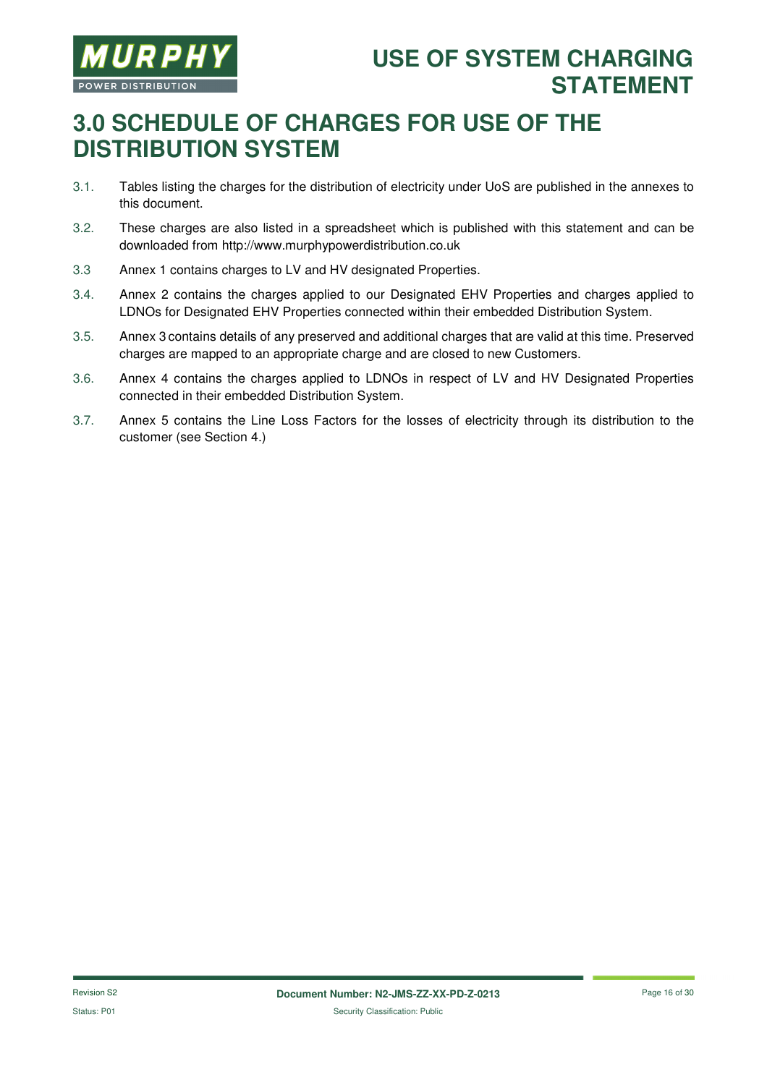

# **3.0 SCHEDULE OF CHARGES FOR USE OF THE DISTRIBUTION SYSTEM**

- 3.1. Tables listing the charges for the distribution of electricity under UoS are published in the annexes to this document.
- 3.2. These charges are also listed in a spreadsheet which is published with this statement and can be downloaded from http://www.murphypowerdistribution.co.uk
- 3.3 Annex 1 contains charges to LV and HV designated Properties.
- 3.4. Annex 2 contains the charges applied to our Designated EHV Properties and charges applied to LDNOs for Designated EHV Properties connected within their embedded Distribution System.
- 3.5. Annex 3 contains details of any preserved and additional charges that are valid at this time. Preserved charges are mapped to an appropriate charge and are closed to new Customers.
- 3.6. Annex 4 contains the charges applied to LDNOs in respect of LV and HV Designated Properties connected in their embedded Distribution System.
- 3.7. Annex 5 contains the Line Loss Factors for the losses of electricity through its distribution to the customer (see Section 4.)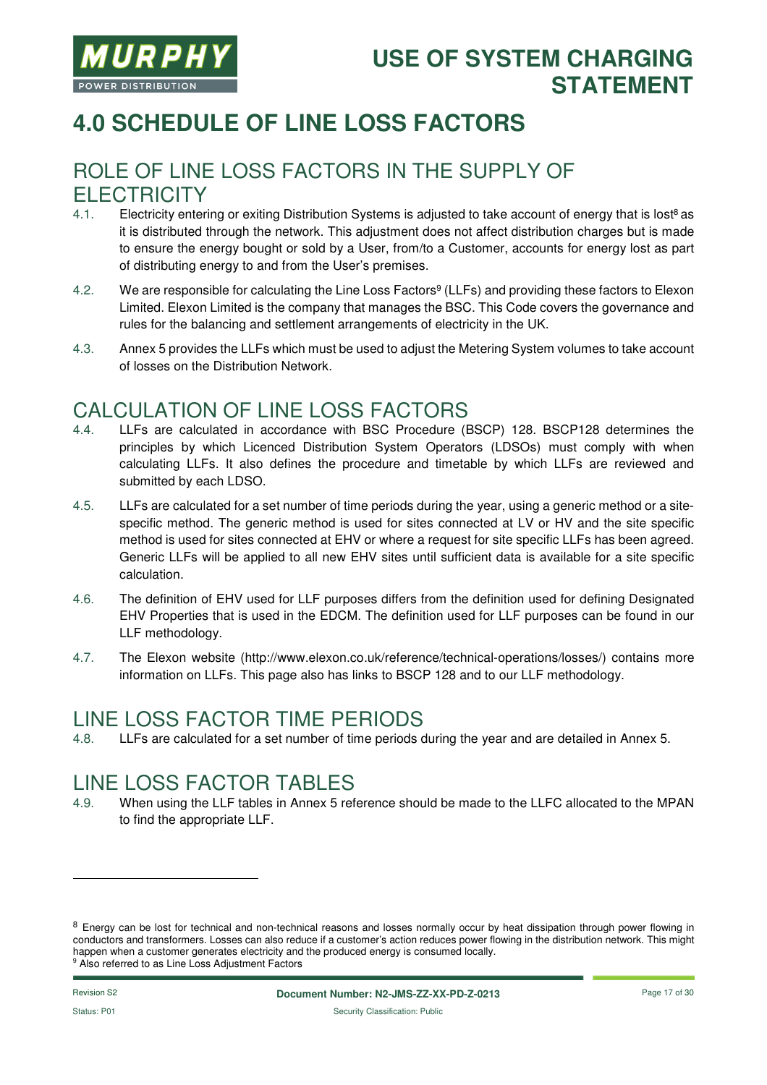

# **4.0 SCHEDULE OF LINE LOSS FACTORS**

#### ROLE OF LINE LOSS FACTORS IN THE SUPPLY OF **FI FCTRICITY**

- 4.1. Electricity entering or exiting Distribution Systems is adjusted to take account of energy that is lost<sup>8</sup> as it is distributed through the network. This adjustment does not affect distribution charges but is made to ensure the energy bought or sold by a User, from/to a Customer, accounts for energy lost as part of distributing energy to and from the User's premises.
- 4.2. We are responsible for calculating the Line Loss Factors<sup>9</sup> (LLFs) and providing these factors to Elexon Limited. Elexon Limited is the company that manages the BSC. This Code covers the governance and rules for the balancing and settlement arrangements of electricity in the UK.
- 4.3. Annex 5 provides the LLFs which must be used to adjust the Metering System volumes to take account of losses on the Distribution Network.

#### CALCULATION OF LINE LOSS FACTORS

- 4.4. LLFs are calculated in accordance with BSC Procedure (BSCP) 128. BSCP128 determines the principles by which Licenced Distribution System Operators (LDSOs) must comply with when calculating LLFs. It also defines the procedure and timetable by which LLFs are reviewed and submitted by each LDSO.
- 4.5. LLFs are calculated for a set number of time periods during the year, using a generic method or a sitespecific method. The generic method is used for sites connected at LV or HV and the site specific method is used for sites connected at EHV or where a request for site specific LLFs has been agreed. Generic LLFs will be applied to all new EHV sites until sufficient data is available for a site specific calculation.
- 4.6. The definition of EHV used for LLF purposes differs from the definition used for defining Designated EHV Properties that is used in the EDCM. The definition used for LLF purposes can be found in our LLF methodology.
- 4.7. The Elexon website (http://www.elexon.co.uk/reference/technical-operations/losses/) contains more information on LLFs. This page also has links to BSCP 128 and to our LLF methodology.

#### LINE LOSS FACTOR TIME PERIODS

4.8. LLFs are calculated for a set number of time periods during the year and are detailed in Annex 5.

#### LINE LOSS FACTOR TABLES

4.9. When using the LLF tables in Annex 5 reference should be made to the LLFC allocated to the MPAN to find the appropriate LLF.

-

<sup>&</sup>lt;sup>8</sup> Energy can be lost for technical and non-technical reasons and losses normally occur by heat dissipation through power flowing in conductors and transformers. Losses can also reduce if a customer's action reduces power flowing in the distribution network. This might happen when a customer generates electricity and the produced energy is consumed locally. <sup>9</sup> Also referred to as Line Loss Adjustment Factors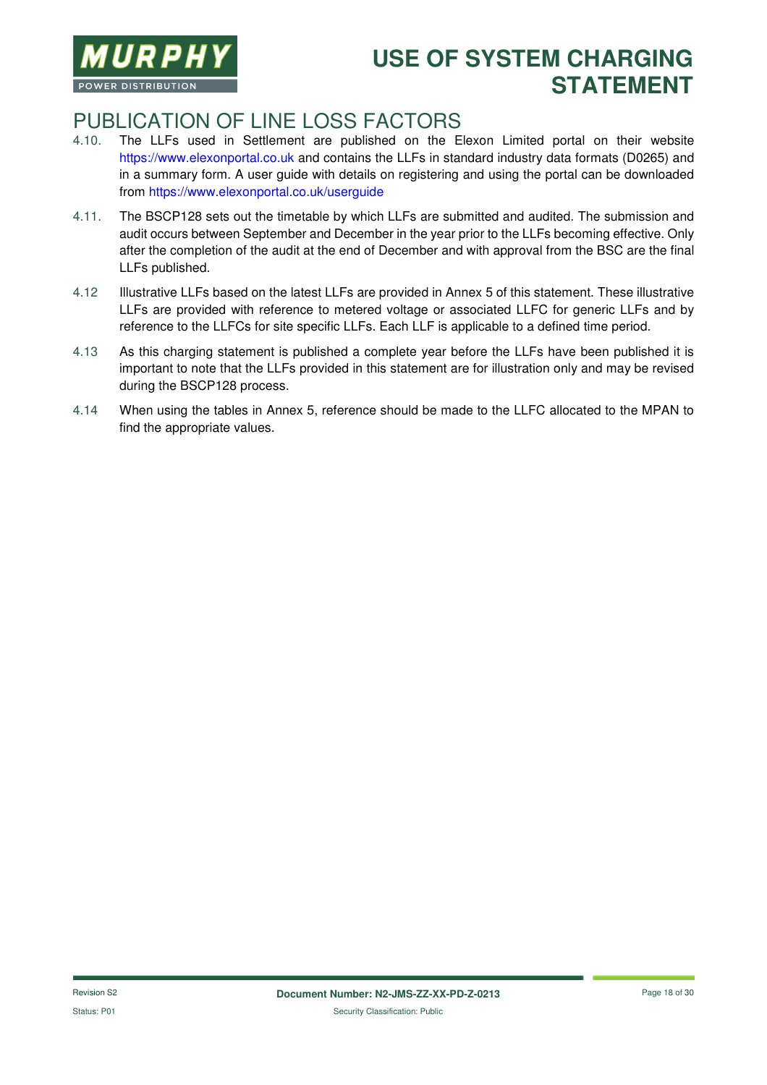

#### PUBLICATION OF LINE LOSS FACTORS

- 4.10. The LLFs used in Settlement are published on the Elexon Limited portal on their website https://www.elexonportal.co.uk and contains the LLFs in standard industry data formats (D0265) and in a summary form. A user guide with details on registering and using the portal can be downloaded from https://www.elexonportal.co.uk/userguide
- 4.11. The BSCP128 sets out the timetable by which LLFs are submitted and audited. The submission and audit occurs between September and December in the year prior to the LLFs becoming effective. Only after the completion of the audit at the end of December and with approval from the BSC are the final LLFs published.
- 4.12 Illustrative LLFs based on the latest LLFs are provided in Annex 5 of this statement. These illustrative LLFs are provided with reference to metered voltage or associated LLFC for generic LLFs and by reference to the LLFCs for site specific LLFs. Each LLF is applicable to a defined time period.
- 4.13 As this charging statement is published a complete year before the LLFs have been published it is important to note that the LLFs provided in this statement are for illustration only and may be revised during the BSCP128 process.
- 4.14 When using the tables in Annex 5, reference should be made to the LLFC allocated to the MPAN to find the appropriate values.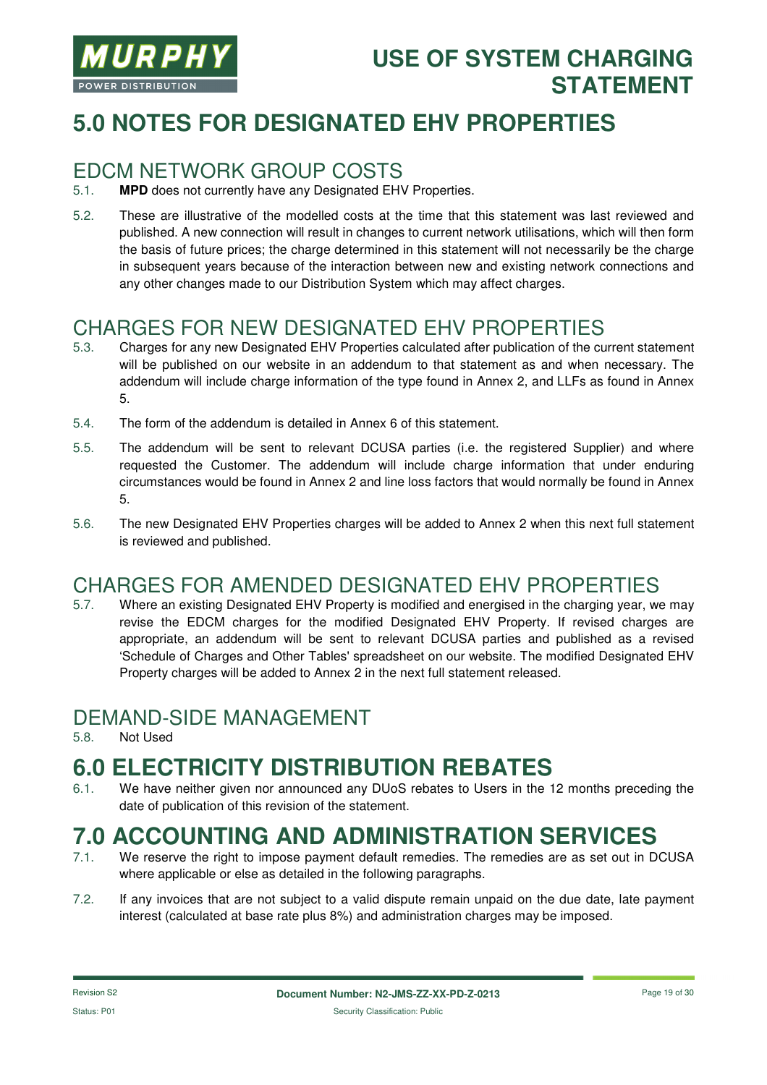

# **5.0 NOTES FOR DESIGNATED EHV PROPERTIES**

#### EDCM NETWORK GROUP COSTS

- 5.1. **MPD** does not currently have any Designated EHV Properties.
- 5.2. These are illustrative of the modelled costs at the time that this statement was last reviewed and published. A new connection will result in changes to current network utilisations, which will then form the basis of future prices; the charge determined in this statement will not necessarily be the charge in subsequent years because of the interaction between new and existing network connections and any other changes made to our Distribution System which may affect charges.

#### CHARGES FOR NEW DESIGNATED EHV PROPERTIES

- 5.3. Charges for any new Designated EHV Properties calculated after publication of the current statement will be published on our website in an addendum to that statement as and when necessary. The addendum will include charge information of the type found in Annex 2, and LLFs as found in Annex 5.
- 5.4. The form of the addendum is detailed in Annex 6 of this statement.
- 5.5. The addendum will be sent to relevant DCUSA parties (i.e. the registered Supplier) and where requested the Customer. The addendum will include charge information that under enduring circumstances would be found in Annex 2 and line loss factors that would normally be found in Annex 5.
- 5.6. The new Designated EHV Properties charges will be added to Annex 2 when this next full statement is reviewed and published.

#### CHARGES FOR AMENDED DESIGNATED EHV PROPERTIES

5.7. Where an existing Designated EHV Property is modified and energised in the charging year, we may revise the EDCM charges for the modified Designated EHV Property. If revised charges are appropriate, an addendum will be sent to relevant DCUSA parties and published as a revised 'Schedule of Charges and Other Tables' spreadsheet on our website. The modified Designated EHV Property charges will be added to Annex 2 in the next full statement released.

#### DEMAND-SIDE MANAGEMENT

5.8. Not Used

# **6.0 ELECTRICITY DISTRIBUTION REBATES**

6.1. We have neither given nor announced any DUoS rebates to Users in the 12 months preceding the date of publication of this revision of the statement.

# **7.0 ACCOUNTING AND ADMINISTRATION SERVICES**

- We reserve the right to impose payment default remedies. The remedies are as set out in DCUSA where applicable or else as detailed in the following paragraphs.
- 7.2. If any invoices that are not subject to a valid dispute remain unpaid on the due date, late payment interest (calculated at base rate plus 8%) and administration charges may be imposed.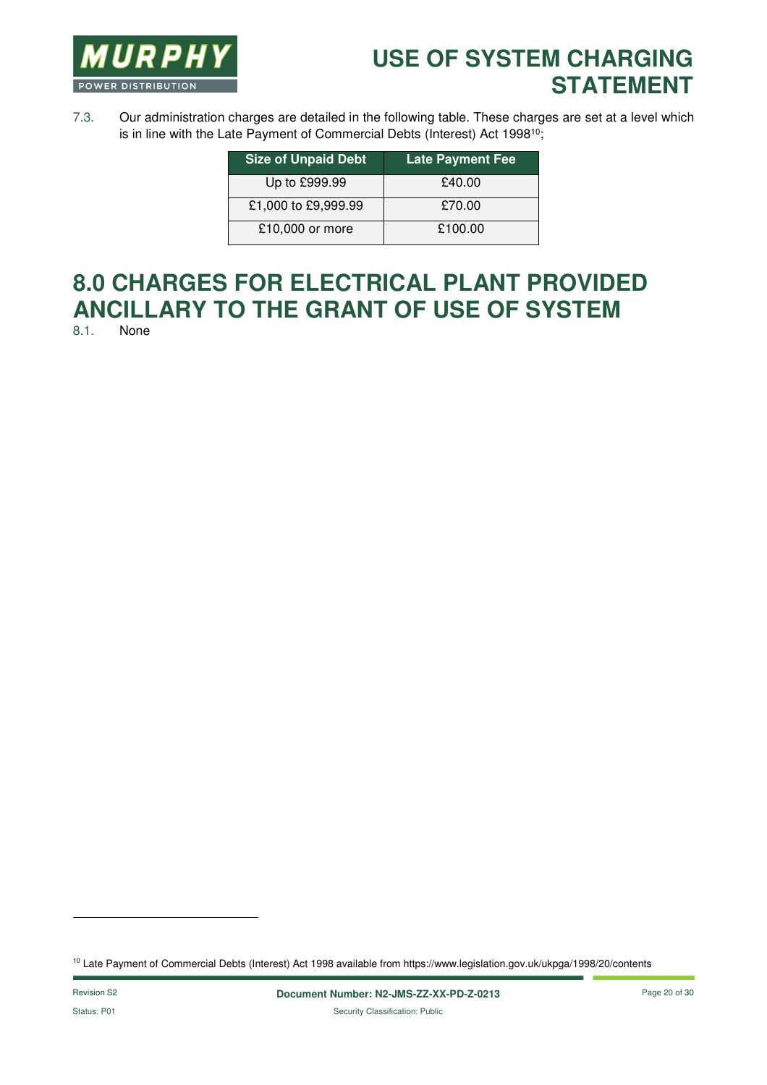

7.3. Our administration charges are detailed in the following table. These charges are set at a level which is in line with the Late Payment of Commercial Debts (Interest) Act 1998<sup>10</sup>;

| <b>Size of Unpaid Debt</b> | <b>Late Payment Fee</b> |
|----------------------------|-------------------------|
| Up to £999.99              | £40.00                  |
| £1,000 to £9,999.99        | £70.00                  |
| £10,000 or more            | £100.00                 |

# **8.0 CHARGES FOR ELECTRICAL PLANT PROVIDED ANCILLARY TO THE GRANT OF USE OF SYSTEM**

None

l

<sup>10</sup> Late Payment of Commercial Debts (Interest) Act 1998 available from https://www.legislation.gov.uk/ukpga/1998/20/contents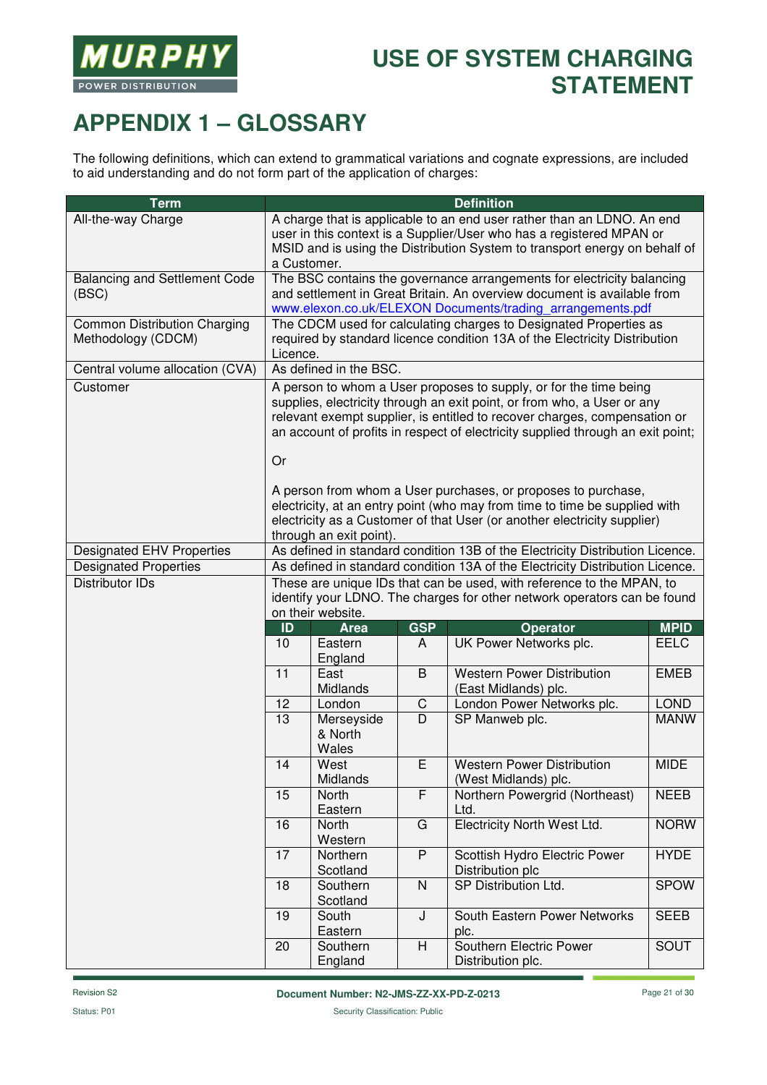

# **APPENDIX 1 – GLOSSARY**

The following definitions, which can extend to grammatical variations and cognate expressions, are included to aid understanding and do not form part of the application of charges:

| <b>Term</b>                                               | <b>Definition</b>                                                                                                                                                                                                                                                                                                  |                                                                                                                                                                                                                 |                |                                                                                                                                                                                                                         |             |
|-----------------------------------------------------------|--------------------------------------------------------------------------------------------------------------------------------------------------------------------------------------------------------------------------------------------------------------------------------------------------------------------|-----------------------------------------------------------------------------------------------------------------------------------------------------------------------------------------------------------------|----------------|-------------------------------------------------------------------------------------------------------------------------------------------------------------------------------------------------------------------------|-------------|
| All-the-way Charge                                        | A charge that is applicable to an end user rather than an LDNO. An end<br>user in this context is a Supplier/User who has a registered MPAN or<br>MSID and is using the Distribution System to transport energy on behalf of<br>a Customer.                                                                        |                                                                                                                                                                                                                 |                |                                                                                                                                                                                                                         |             |
| <b>Balancing and Settlement Code</b><br>(BSC)             |                                                                                                                                                                                                                                                                                                                    | The BSC contains the governance arrangements for electricity balancing<br>and settlement in Great Britain. An overview document is available from<br>www.elexon.co.uk/ELEXON Documents/trading_arrangements.pdf |                |                                                                                                                                                                                                                         |             |
| <b>Common Distribution Charging</b><br>Methodology (CDCM) |                                                                                                                                                                                                                                                                                                                    | The CDCM used for calculating charges to Designated Properties as<br>required by standard licence condition 13A of the Electricity Distribution<br>Licence.                                                     |                |                                                                                                                                                                                                                         |             |
| Central volume allocation (CVA)                           |                                                                                                                                                                                                                                                                                                                    | As defined in the BSC.                                                                                                                                                                                          |                |                                                                                                                                                                                                                         |             |
| Customer                                                  | A person to whom a User proposes to supply, or for the time being<br>supplies, electricity through an exit point, or from who, a User or any<br>relevant exempt supplier, is entitled to recover charges, compensation or<br>an account of profits in respect of electricity supplied through an exit point;<br>Or |                                                                                                                                                                                                                 |                |                                                                                                                                                                                                                         |             |
|                                                           |                                                                                                                                                                                                                                                                                                                    | through an exit point).                                                                                                                                                                                         |                | A person from whom a User purchases, or proposes to purchase,<br>electricity, at an entry point (who may from time to time be supplied with<br>electricity as a Customer of that User (or another electricity supplier) |             |
| <b>Designated EHV Properties</b>                          |                                                                                                                                                                                                                                                                                                                    |                                                                                                                                                                                                                 |                | As defined in standard condition 13B of the Electricity Distribution Licence.                                                                                                                                           |             |
| <b>Designated Properties</b>                              |                                                                                                                                                                                                                                                                                                                    |                                                                                                                                                                                                                 |                | As defined in standard condition 13A of the Electricity Distribution Licence.                                                                                                                                           |             |
| <b>Distributor IDs</b>                                    | These are unique IDs that can be used, with reference to the MPAN, to<br>identify your LDNO. The charges for other network operators can be found<br>on their website.                                                                                                                                             |                                                                                                                                                                                                                 |                |                                                                                                                                                                                                                         |             |
|                                                           | ID                                                                                                                                                                                                                                                                                                                 | <b>Area</b>                                                                                                                                                                                                     | <b>GSP</b>     | <b>Operator</b>                                                                                                                                                                                                         | <b>MPID</b> |
|                                                           | 10                                                                                                                                                                                                                                                                                                                 | Eastern<br>England                                                                                                                                                                                              | A              | UK Power Networks plc.                                                                                                                                                                                                  | <b>EELC</b> |
|                                                           | 11                                                                                                                                                                                                                                                                                                                 | East<br>Midlands                                                                                                                                                                                                | $\sf B$        | <b>Western Power Distribution</b><br>(East Midlands) plc.                                                                                                                                                               | <b>EMEB</b> |
|                                                           | 12                                                                                                                                                                                                                                                                                                                 | London                                                                                                                                                                                                          | $\mathsf C$    | London Power Networks plc.                                                                                                                                                                                              | <b>LOND</b> |
|                                                           | 13                                                                                                                                                                                                                                                                                                                 | Merseyside<br>& North<br>Wales                                                                                                                                                                                  | $\overline{D}$ | SP Manweb plc.                                                                                                                                                                                                          | <b>MANW</b> |
|                                                           | 14                                                                                                                                                                                                                                                                                                                 | West<br>Midlands                                                                                                                                                                                                | E              | <b>Western Power Distribution</b><br>(West Midlands) plc.                                                                                                                                                               | <b>MIDE</b> |
|                                                           | 15                                                                                                                                                                                                                                                                                                                 | North<br>Eastern                                                                                                                                                                                                | F              | Northern Powergrid (Northeast)<br>Ltd.                                                                                                                                                                                  | <b>NEEB</b> |
|                                                           | 16                                                                                                                                                                                                                                                                                                                 | North<br>Western                                                                                                                                                                                                | G              | <b>Electricity North West Ltd.</b>                                                                                                                                                                                      | <b>NORW</b> |
|                                                           | 17                                                                                                                                                                                                                                                                                                                 | Northern<br>Scotland                                                                                                                                                                                            | $\overline{P}$ | Scottish Hydro Electric Power<br>Distribution plc                                                                                                                                                                       | <b>HYDE</b> |
|                                                           | 18                                                                                                                                                                                                                                                                                                                 | Southern<br>Scotland                                                                                                                                                                                            | N              | SP Distribution Ltd.                                                                                                                                                                                                    | <b>SPOW</b> |
|                                                           | 19                                                                                                                                                                                                                                                                                                                 | South<br>Eastern                                                                                                                                                                                                | J              | South Eastern Power Networks<br>plc.                                                                                                                                                                                    | <b>SEEB</b> |
|                                                           | 20                                                                                                                                                                                                                                                                                                                 | Southern<br>England                                                                                                                                                                                             | H              | Southern Electric Power<br>Distribution plc.                                                                                                                                                                            | SOUT        |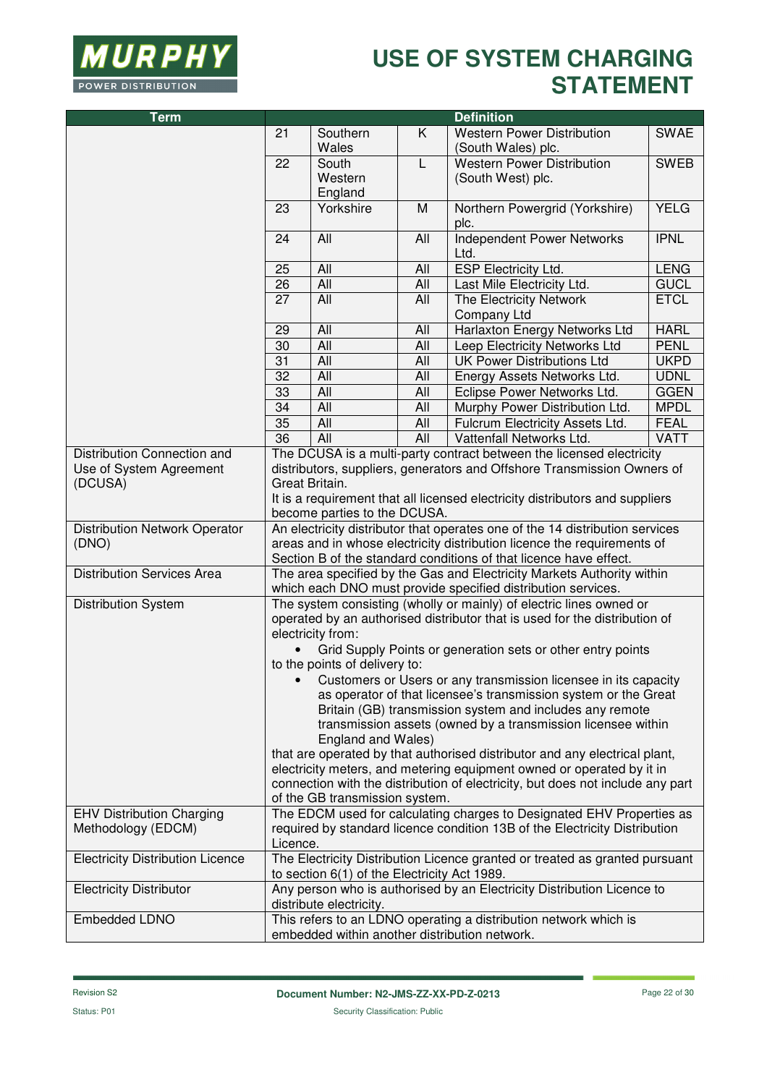

| <b>Term</b>                             | <b>Definition</b>                                                                                                                      |                                              |            |                                                                              |             |
|-----------------------------------------|----------------------------------------------------------------------------------------------------------------------------------------|----------------------------------------------|------------|------------------------------------------------------------------------------|-------------|
|                                         | 21                                                                                                                                     | Southern<br>Wales                            | K          | <b>Western Power Distribution</b><br>(South Wales) plc.                      | <b>SWAE</b> |
|                                         | 22                                                                                                                                     | South<br>Western                             | L          | <b>Western Power Distribution</b><br>(South West) plc.                       | <b>SWEB</b> |
|                                         | 23                                                                                                                                     | England<br>Yorkshire                         | M          | Northern Powergrid (Yorkshire)                                               | <b>YELG</b> |
|                                         | 24                                                                                                                                     | All                                          | All        | plc.<br><b>Independent Power Networks</b>                                    | <b>IPNL</b> |
|                                         |                                                                                                                                        |                                              |            | Ltd.                                                                         |             |
|                                         | 25                                                                                                                                     | All                                          | All        | ESP Electricity Ltd.                                                         | <b>LENG</b> |
|                                         | 26                                                                                                                                     | <b>All</b>                                   | All        | Last Mile Electricity Ltd.                                                   | <b>GUCL</b> |
|                                         | $\overline{27}$                                                                                                                        | All                                          | All        | The Electricity Network<br>Company Ltd                                       | <b>ETCL</b> |
|                                         | 29                                                                                                                                     | All                                          | All        | Harlaxton Energy Networks Ltd                                                | <b>HARL</b> |
|                                         | 30                                                                                                                                     | <b>All</b>                                   | All        | Leep Electricity Networks Ltd                                                | <b>PENL</b> |
|                                         | 31                                                                                                                                     | <b>All</b>                                   | All        | <b>UK Power Distributions Ltd</b>                                            | <b>UKPD</b> |
|                                         | 32                                                                                                                                     | <b>All</b>                                   | All        | Energy Assets Networks Ltd.                                                  | <b>UDNL</b> |
|                                         | 33                                                                                                                                     | <b>All</b>                                   | All        | Eclipse Power Networks Ltd.                                                  | <b>GGEN</b> |
|                                         | 34                                                                                                                                     | <b>All</b>                                   | All        | Murphy Power Distribution Ltd.                                               | <b>MPDL</b> |
|                                         | 35                                                                                                                                     | <b>All</b>                                   | All        | Fulcrum Electricity Assets Ltd.                                              | <b>FEAL</b> |
|                                         | 36                                                                                                                                     | <b>All</b>                                   | <b>All</b> | Vattenfall Networks Ltd.                                                     | <b>VATT</b> |
| Distribution Connection and             |                                                                                                                                        |                                              |            | The DCUSA is a multi-party contract between the licensed electricity         |             |
| Use of System Agreement                 |                                                                                                                                        |                                              |            | distributors, suppliers, generators and Offshore Transmission Owners of      |             |
| (DCUSA)                                 | Great Britain.                                                                                                                         |                                              |            |                                                                              |             |
|                                         |                                                                                                                                        | become parties to the DCUSA.                 |            | It is a requirement that all licensed electricity distributors and suppliers |             |
| <b>Distribution Network Operator</b>    | An electricity distributor that operates one of the 14 distribution services                                                           |                                              |            |                                                                              |             |
| (DNO)                                   | areas and in whose electricity distribution licence the requirements of                                                                |                                              |            |                                                                              |             |
|                                         | Section B of the standard conditions of that licence have effect.                                                                      |                                              |            |                                                                              |             |
| <b>Distribution Services Area</b>       | The area specified by the Gas and Electricity Markets Authority within<br>which each DNO must provide specified distribution services. |                                              |            |                                                                              |             |
| <b>Distribution System</b>              | The system consisting (wholly or mainly) of electric lines owned or                                                                    |                                              |            |                                                                              |             |
|                                         | operated by an authorised distributor that is used for the distribution of<br>electricity from:                                        |                                              |            |                                                                              |             |
|                                         |                                                                                                                                        |                                              |            |                                                                              |             |
|                                         | Grid Supply Points or generation sets or other entry points<br>to the points of delivery to:                                           |                                              |            |                                                                              |             |
|                                         | Customers or Users or any transmission licensee in its capacity                                                                        |                                              |            |                                                                              |             |
|                                         | as operator of that licensee's transmission system or the Great                                                                        |                                              |            |                                                                              |             |
|                                         | Britain (GB) transmission system and includes any remote                                                                               |                                              |            |                                                                              |             |
|                                         | transmission assets (owned by a transmission licensee within<br>England and Wales)                                                     |                                              |            |                                                                              |             |
|                                         |                                                                                                                                        |                                              |            | that are operated by that authorised distributor and any electrical plant,   |             |
|                                         | electricity meters, and metering equipment owned or operated by it in                                                                  |                                              |            |                                                                              |             |
|                                         | connection with the distribution of electricity, but does not include any part                                                         |                                              |            |                                                                              |             |
|                                         |                                                                                                                                        | of the GB transmission system.               |            |                                                                              |             |
| <b>EHV Distribution Charging</b>        |                                                                                                                                        |                                              |            | The EDCM used for calculating charges to Designated EHV Properties as        |             |
| Methodology (EDCM)                      | required by standard licence condition 13B of the Electricity Distribution<br>Licence.                                                 |                                              |            |                                                                              |             |
| <b>Electricity Distribution Licence</b> |                                                                                                                                        | to section 6(1) of the Electricity Act 1989. |            | The Electricity Distribution Licence granted or treated as granted pursuant  |             |
| <b>Electricity Distributor</b>          | Any person who is authorised by an Electricity Distribution Licence to<br>distribute electricity.                                      |                                              |            |                                                                              |             |
| Embedded LDNO                           |                                                                                                                                        |                                              |            | This refers to an LDNO operating a distribution network which is             |             |
|                                         |                                                                                                                                        |                                              |            | embedded within another distribution network.                                |             |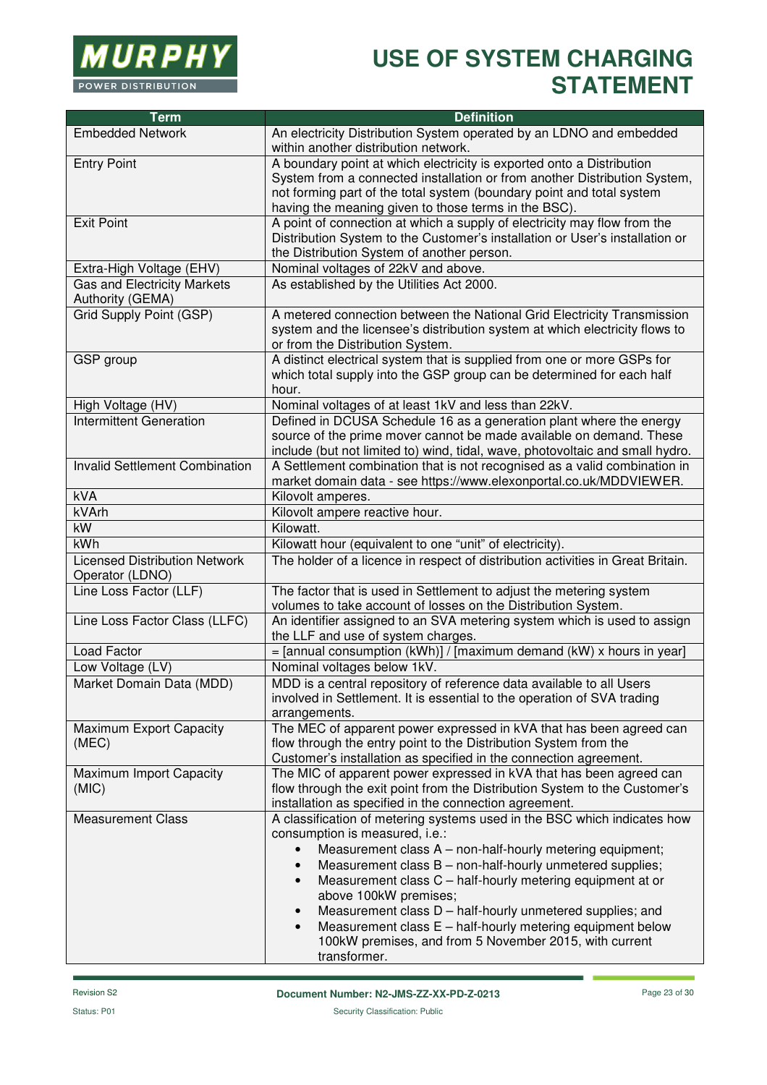

| <b>Term</b>                                             | <b>Definition</b>                                                                                                                        |
|---------------------------------------------------------|------------------------------------------------------------------------------------------------------------------------------------------|
| <b>Embedded Network</b>                                 | An electricity Distribution System operated by an LDNO and embedded                                                                      |
|                                                         | within another distribution network.                                                                                                     |
| <b>Entry Point</b>                                      | A boundary point at which electricity is exported onto a Distribution                                                                    |
|                                                         | System from a connected installation or from another Distribution System,                                                                |
|                                                         | not forming part of the total system (boundary point and total system                                                                    |
|                                                         | having the meaning given to those terms in the BSC).                                                                                     |
| <b>Exit Point</b>                                       | A point of connection at which a supply of electricity may flow from the                                                                 |
|                                                         | Distribution System to the Customer's installation or User's installation or                                                             |
|                                                         | the Distribution System of another person.                                                                                               |
| Extra-High Voltage (EHV)                                | Nominal voltages of 22kV and above.                                                                                                      |
| <b>Gas and Electricity Markets</b><br>Authority (GEMA)  | As established by the Utilities Act 2000.                                                                                                |
| Grid Supply Point (GSP)                                 | A metered connection between the National Grid Electricity Transmission                                                                  |
|                                                         | system and the licensee's distribution system at which electricity flows to                                                              |
|                                                         | or from the Distribution System.                                                                                                         |
| GSP group                                               | A distinct electrical system that is supplied from one or more GSPs for                                                                  |
|                                                         | which total supply into the GSP group can be determined for each half                                                                    |
|                                                         | hour.                                                                                                                                    |
| High Voltage (HV)                                       | Nominal voltages of at least 1kV and less than 22kV.                                                                                     |
| <b>Intermittent Generation</b>                          | Defined in DCUSA Schedule 16 as a generation plant where the energy                                                                      |
|                                                         | source of the prime mover cannot be made available on demand. These                                                                      |
|                                                         | include (but not limited to) wind, tidal, wave, photovoltaic and small hydro.                                                            |
| <b>Invalid Settlement Combination</b>                   | A Settlement combination that is not recognised as a valid combination in                                                                |
| <b>kVA</b>                                              | market domain data - see https://www.elexonportal.co.uk/MDDVIEWER.<br>Kilovolt amperes.                                                  |
| kVArh                                                   |                                                                                                                                          |
| kW                                                      | Kilovolt ampere reactive hour.<br>Kilowatt.                                                                                              |
| <b>kWh</b>                                              |                                                                                                                                          |
|                                                         | Kilowatt hour (equivalent to one "unit" of electricity).                                                                                 |
| <b>Licensed Distribution Network</b><br>Operator (LDNO) | The holder of a licence in respect of distribution activities in Great Britain.                                                          |
| Line Loss Factor (LLF)                                  | The factor that is used in Settlement to adjust the metering system                                                                      |
|                                                         | volumes to take account of losses on the Distribution System.                                                                            |
| Line Loss Factor Class (LLFC)                           | An identifier assigned to an SVA metering system which is used to assign                                                                 |
|                                                         | the LLF and use of system charges.                                                                                                       |
| Load Factor                                             | $=$ [annual consumption (kWh)] / [maximum demand (kW) x hours in year]                                                                   |
| Low Voltage (LV)                                        | Nominal voltages below 1kV.                                                                                                              |
| Market Domain Data (MDD)                                | MDD is a central repository of reference data available to all Users                                                                     |
|                                                         | involved in Settlement. It is essential to the operation of SVA trading                                                                  |
|                                                         | arrangements.                                                                                                                            |
| Maximum Export Capacity                                 | The MEC of apparent power expressed in kVA that has been agreed can                                                                      |
| (MEC)                                                   | flow through the entry point to the Distribution System from the                                                                         |
|                                                         | Customer's installation as specified in the connection agreement.<br>The MIC of apparent power expressed in kVA that has been agreed can |
| Maximum Import Capacity<br>(MIC)                        | flow through the exit point from the Distribution System to the Customer's                                                               |
|                                                         | installation as specified in the connection agreement.                                                                                   |
| <b>Measurement Class</b>                                | A classification of metering systems used in the BSC which indicates how                                                                 |
|                                                         | consumption is measured, i.e.:                                                                                                           |
|                                                         | Measurement class A - non-half-hourly metering equipment;                                                                                |
|                                                         | Measurement class B - non-half-hourly unmetered supplies;                                                                                |
|                                                         | Measurement class C - half-hourly metering equipment at or                                                                               |
|                                                         | above 100kW premises;                                                                                                                    |
|                                                         | Measurement class D - half-hourly unmetered supplies; and                                                                                |
|                                                         | Measurement class E - half-hourly metering equipment below                                                                               |
|                                                         | 100kW premises, and from 5 November 2015, with current                                                                                   |
|                                                         | transformer.                                                                                                                             |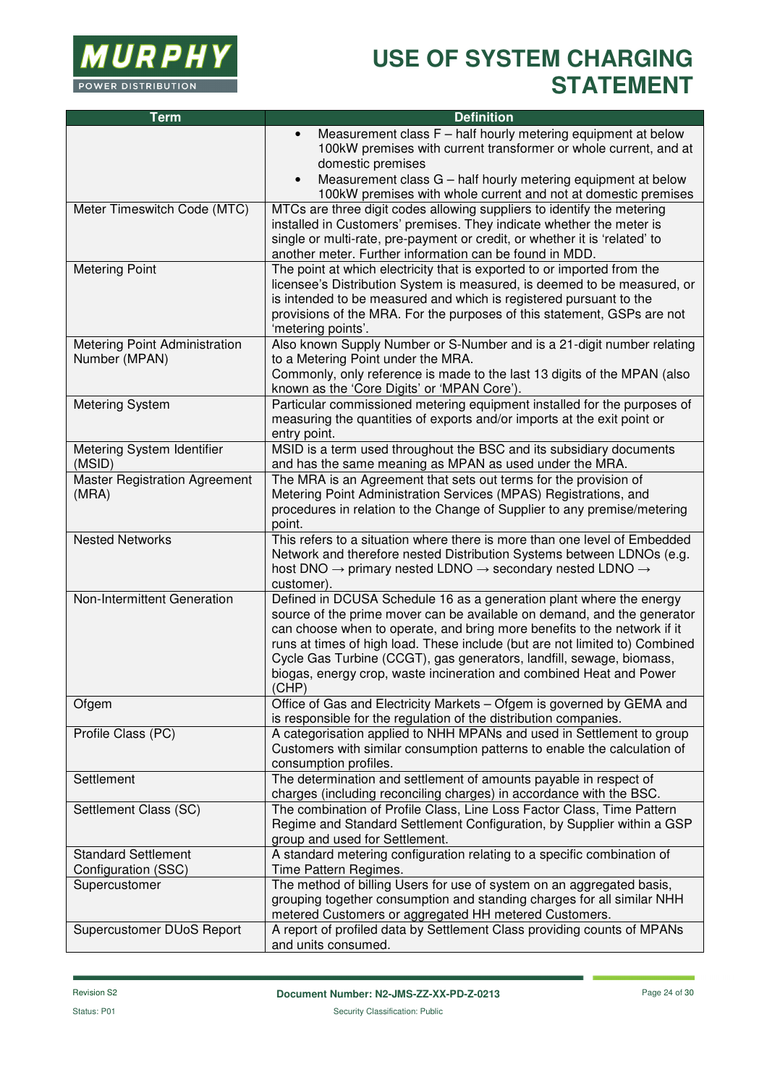

| <b>Term</b>                                       | <b>Definition</b>                                                                                                                                                                                                                                                                                                                                                                                                                                                 |
|---------------------------------------------------|-------------------------------------------------------------------------------------------------------------------------------------------------------------------------------------------------------------------------------------------------------------------------------------------------------------------------------------------------------------------------------------------------------------------------------------------------------------------|
|                                                   | Measurement class F - half hourly metering equipment at below<br>$\bullet$<br>100kW premises with current transformer or whole current, and at<br>domestic premises<br>Measurement class G - half hourly metering equipment at below<br>$\bullet$                                                                                                                                                                                                                 |
|                                                   | 100kW premises with whole current and not at domestic premises                                                                                                                                                                                                                                                                                                                                                                                                    |
| Meter Timeswitch Code (MTC)                       | MTCs are three digit codes allowing suppliers to identify the metering<br>installed in Customers' premises. They indicate whether the meter is<br>single or multi-rate, pre-payment or credit, or whether it is 'related' to<br>another meter. Further information can be found in MDD.                                                                                                                                                                           |
| <b>Metering Point</b>                             | The point at which electricity that is exported to or imported from the<br>licensee's Distribution System is measured, is deemed to be measured, or<br>is intended to be measured and which is registered pursuant to the<br>provisions of the MRA. For the purposes of this statement, GSPs are not<br>'metering points'.                                                                                                                                        |
| Metering Point Administration<br>Number (MPAN)    | Also known Supply Number or S-Number and is a 21-digit number relating<br>to a Metering Point under the MRA.<br>Commonly, only reference is made to the last 13 digits of the MPAN (also<br>known as the 'Core Digits' or 'MPAN Core').                                                                                                                                                                                                                           |
| <b>Metering System</b>                            | Particular commissioned metering equipment installed for the purposes of<br>measuring the quantities of exports and/or imports at the exit point or<br>entry point.                                                                                                                                                                                                                                                                                               |
| Metering System Identifier<br>(MSID)              | MSID is a term used throughout the BSC and its subsidiary documents<br>and has the same meaning as MPAN as used under the MRA.                                                                                                                                                                                                                                                                                                                                    |
| <b>Master Registration Agreement</b><br>(MRA)     | The MRA is an Agreement that sets out terms for the provision of<br>Metering Point Administration Services (MPAS) Registrations, and<br>procedures in relation to the Change of Supplier to any premise/metering<br>point.                                                                                                                                                                                                                                        |
| <b>Nested Networks</b>                            | This refers to a situation where there is more than one level of Embedded<br>Network and therefore nested Distribution Systems between LDNOs (e.g.<br>host DNO $\rightarrow$ primary nested LDNO $\rightarrow$ secondary nested LDNO $\rightarrow$<br>customer).                                                                                                                                                                                                  |
| Non-Intermittent Generation                       | Defined in DCUSA Schedule 16 as a generation plant where the energy<br>source of the prime mover can be available on demand, and the generator<br>can choose when to operate, and bring more benefits to the network if it<br>runs at times of high load. These include (but are not limited to) Combined<br>Cycle Gas Turbine (CCGT), gas generators, landfill, sewage, biomass,<br>biogas, energy crop, waste incineration and combined Heat and Power<br>(CHP) |
| Ofgem                                             | Office of Gas and Electricity Markets - Ofgem is governed by GEMA and<br>is responsible for the regulation of the distribution companies.                                                                                                                                                                                                                                                                                                                         |
| Profile Class (PC)                                | A categorisation applied to NHH MPANs and used in Settlement to group<br>Customers with similar consumption patterns to enable the calculation of<br>consumption profiles.                                                                                                                                                                                                                                                                                        |
| Settlement                                        | The determination and settlement of amounts payable in respect of<br>charges (including reconciling charges) in accordance with the BSC.                                                                                                                                                                                                                                                                                                                          |
| Settlement Class (SC)                             | The combination of Profile Class, Line Loss Factor Class, Time Pattern<br>Regime and Standard Settlement Configuration, by Supplier within a GSP<br>group and used for Settlement.                                                                                                                                                                                                                                                                                |
| <b>Standard Settlement</b><br>Configuration (SSC) | A standard metering configuration relating to a specific combination of<br>Time Pattern Regimes.                                                                                                                                                                                                                                                                                                                                                                  |
| Supercustomer                                     | The method of billing Users for use of system on an aggregated basis,<br>grouping together consumption and standing charges for all similar NHH<br>metered Customers or aggregated HH metered Customers.                                                                                                                                                                                                                                                          |
| Supercustomer DUoS Report                         | A report of profiled data by Settlement Class providing counts of MPANs<br>and units consumed.                                                                                                                                                                                                                                                                                                                                                                    |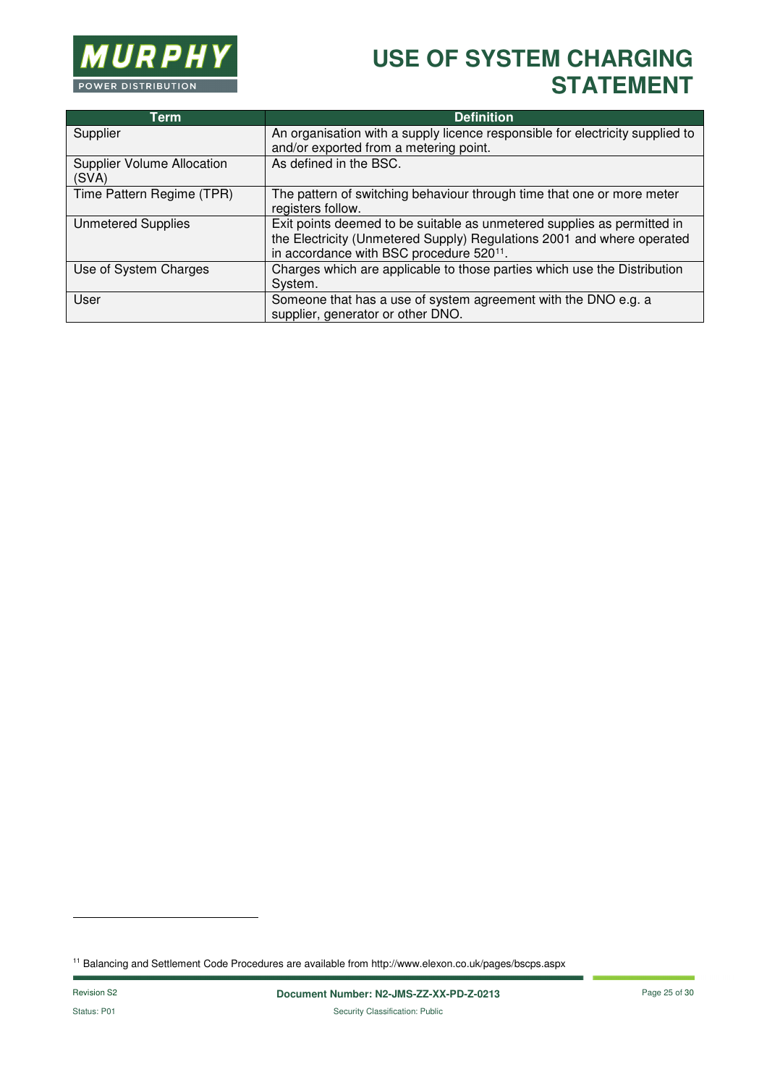

| <b>Term</b>                                | <b>Definition</b>                                                                                                                                                                                         |
|--------------------------------------------|-----------------------------------------------------------------------------------------------------------------------------------------------------------------------------------------------------------|
| Supplier                                   | An organisation with a supply licence responsible for electricity supplied to                                                                                                                             |
|                                            | and/or exported from a metering point.                                                                                                                                                                    |
| <b>Supplier Volume Allocation</b><br>(SVA) | As defined in the BSC.                                                                                                                                                                                    |
|                                            |                                                                                                                                                                                                           |
| Time Pattern Regime (TPR)                  | The pattern of switching behaviour through time that one or more meter<br>registers follow.                                                                                                               |
| <b>Unmetered Supplies</b>                  | Exit points deemed to be suitable as unmetered supplies as permitted in<br>the Electricity (Unmetered Supply) Regulations 2001 and where operated<br>in accordance with BSC procedure 520 <sup>11</sup> . |
| Use of System Charges                      | Charges which are applicable to those parties which use the Distribution<br>System.                                                                                                                       |
| User                                       | Someone that has a use of system agreement with the DNO e.g. a<br>supplier, generator or other DNO.                                                                                                       |

11 Balancing and Settlement Code Procedures are available from http://www.elexon.co.uk/pages/bscps.aspx

l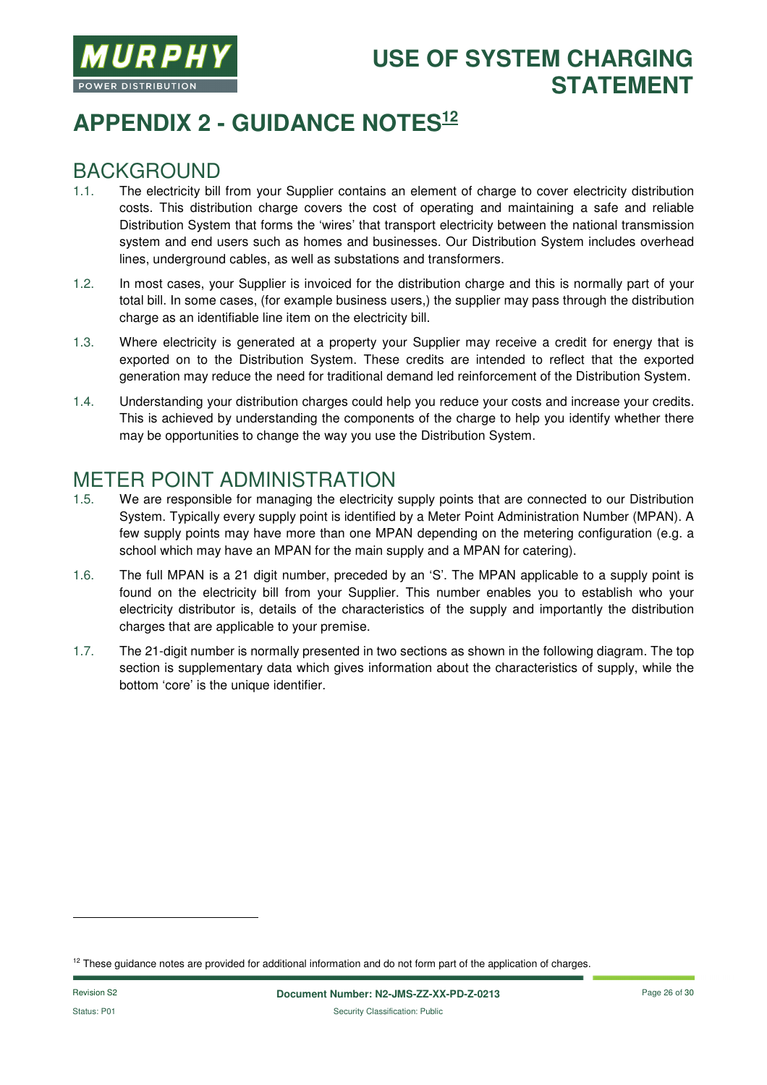

# **APPENDIX 2 - GUIDANCE NOTES<sup>12</sup>**

#### BACKGROUND

- 1.1. The electricity bill from your Supplier contains an element of charge to cover electricity distribution costs. This distribution charge covers the cost of operating and maintaining a safe and reliable Distribution System that forms the 'wires' that transport electricity between the national transmission system and end users such as homes and businesses. Our Distribution System includes overhead lines, underground cables, as well as substations and transformers.
- 1.2. In most cases, your Supplier is invoiced for the distribution charge and this is normally part of your total bill. In some cases, (for example business users,) the supplier may pass through the distribution charge as an identifiable line item on the electricity bill.
- 1.3. Where electricity is generated at a property your Supplier may receive a credit for energy that is exported on to the Distribution System. These credits are intended to reflect that the exported generation may reduce the need for traditional demand led reinforcement of the Distribution System.
- 1.4. Understanding your distribution charges could help you reduce your costs and increase your credits. This is achieved by understanding the components of the charge to help you identify whether there may be opportunities to change the way you use the Distribution System.

#### METER POINT ADMINISTRATION

- 1.5. We are responsible for managing the electricity supply points that are connected to our Distribution System. Typically every supply point is identified by a Meter Point Administration Number (MPAN). A few supply points may have more than one MPAN depending on the metering configuration (e.g. a school which may have an MPAN for the main supply and a MPAN for catering).
- 1.6. The full MPAN is a 21 digit number, preceded by an 'S'. The MPAN applicable to a supply point is found on the electricity bill from your Supplier. This number enables you to establish who your electricity distributor is, details of the characteristics of the supply and importantly the distribution charges that are applicable to your premise.
- 1.7. The 21-digit number is normally presented in two sections as shown in the following diagram. The top section is supplementary data which gives information about the characteristics of supply, while the bottom 'core' is the unique identifier.

l

 $12$  These guidance notes are provided for additional information and do not form part of the application of charges.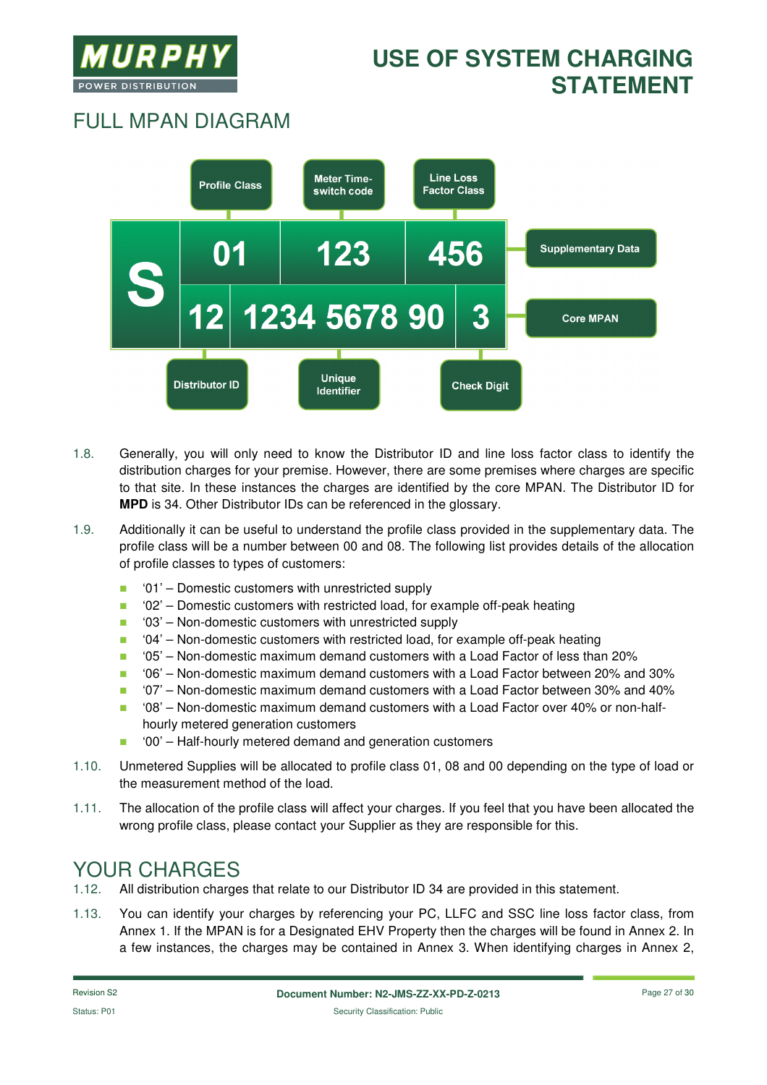

# FULL MPAN DIAGRAM



- 1.8. Generally, you will only need to know the Distributor ID and line loss factor class to identify the distribution charges for your premise. However, there are some premises where charges are specific to that site. In these instances the charges are identified by the core MPAN. The Distributor ID for **MPD** is 34. Other Distributor IDs can be referenced in the glossary.
- 1.9. Additionally it can be useful to understand the profile class provided in the supplementary data. The profile class will be a number between 00 and 08. The following list provides details of the allocation of profile classes to types of customers:
	- $\blacksquare$  '01' Domestic customers with unrestricted supply
	- '02' Domestic customers with restricted load, for example off-peak heating
	- '03' Non-domestic customers with unrestricted supply
	- '04' Non-domestic customers with restricted load, for example off-peak heating
	- '05' Non-domestic maximum demand customers with a Load Factor of less than 20%
	- '06' Non-domestic maximum demand customers with a Load Factor between 20% and 30%
	- $\blacksquare$  '07' Non-domestic maximum demand customers with a Load Factor between 30% and 40%
	- '08' Non-domestic maximum demand customers with a Load Factor over 40% or non-halfhourly metered generation customers
	- '00' Half-hourly metered demand and generation customers
- 1.10. Unmetered Supplies will be allocated to profile class 01, 08 and 00 depending on the type of load or the measurement method of the load.
- 1.11. The allocation of the profile class will affect your charges. If you feel that you have been allocated the wrong profile class, please contact your Supplier as they are responsible for this.

### YOUR CHARGES

- 1.12. All distribution charges that relate to our Distributor ID 34 are provided in this statement.
- 1.13. You can identify your charges by referencing your PC, LLFC and SSC line loss factor class, from Annex 1. If the MPAN is for a Designated EHV Property then the charges will be found in Annex 2. In a few instances, the charges may be contained in Annex 3. When identifying charges in Annex 2,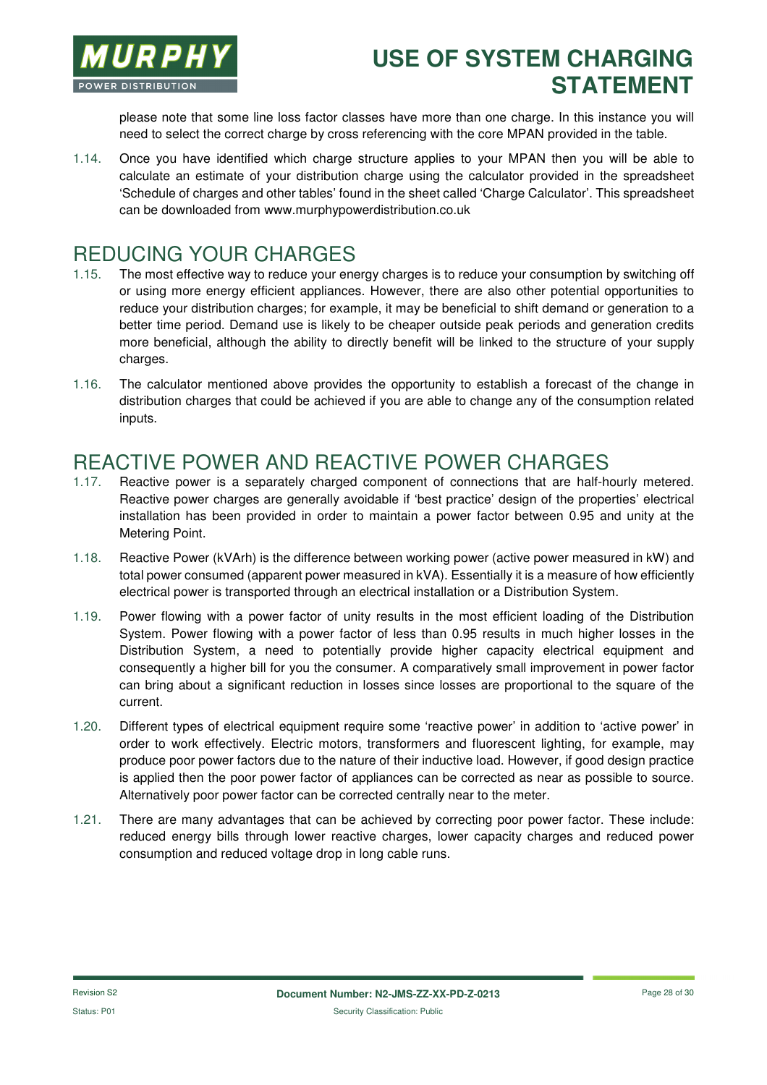

please note that some line loss factor classes have more than one charge. In this instance you will need to select the correct charge by cross referencing with the core MPAN provided in the table.

1.14. Once you have identified which charge structure applies to your MPAN then you will be able to calculate an estimate of your distribution charge using the calculator provided in the spreadsheet 'Schedule of charges and other tables' found in the sheet called 'Charge Calculator'. This spreadsheet can be downloaded from www.murphypowerdistribution.co.uk

#### REDUCING YOUR CHARGES

- 1.15. The most effective way to reduce your energy charges is to reduce your consumption by switching off or using more energy efficient appliances. However, there are also other potential opportunities to reduce your distribution charges; for example, it may be beneficial to shift demand or generation to a better time period. Demand use is likely to be cheaper outside peak periods and generation credits more beneficial, although the ability to directly benefit will be linked to the structure of your supply charges.
- 1.16. The calculator mentioned above provides the opportunity to establish a forecast of the change in distribution charges that could be achieved if you are able to change any of the consumption related inputs.

#### REACTIVE POWER AND REACTIVE POWER CHARGES

- 1.17. Reactive power is a separately charged component of connections that are half-hourly metered. Reactive power charges are generally avoidable if 'best practice' design of the properties' electrical installation has been provided in order to maintain a power factor between 0.95 and unity at the Metering Point.
- 1.18. Reactive Power (kVArh) is the difference between working power (active power measured in kW) and total power consumed (apparent power measured in kVA). Essentially it is a measure of how efficiently electrical power is transported through an electrical installation or a Distribution System.
- 1.19. Power flowing with a power factor of unity results in the most efficient loading of the Distribution System. Power flowing with a power factor of less than 0.95 results in much higher losses in the Distribution System, a need to potentially provide higher capacity electrical equipment and consequently a higher bill for you the consumer. A comparatively small improvement in power factor can bring about a significant reduction in losses since losses are proportional to the square of the current.
- 1.20. Different types of electrical equipment require some 'reactive power' in addition to 'active power' in order to work effectively. Electric motors, transformers and fluorescent lighting, for example, may produce poor power factors due to the nature of their inductive load. However, if good design practice is applied then the poor power factor of appliances can be corrected as near as possible to source. Alternatively poor power factor can be corrected centrally near to the meter.
- 1.21. There are many advantages that can be achieved by correcting poor power factor. These include: reduced energy bills through lower reactive charges, lower capacity charges and reduced power consumption and reduced voltage drop in long cable runs.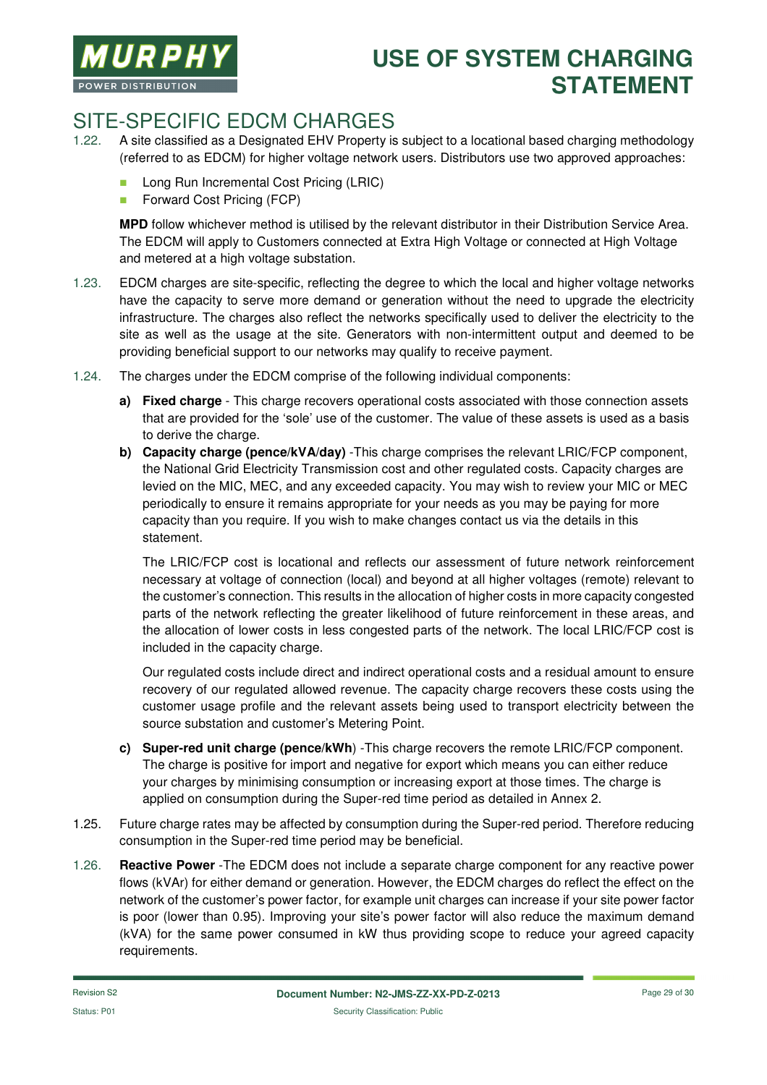

### SITE-SPECIFIC EDCM CHARGES

- 1.22. A site classified as a Designated EHV Property is subject to a locational based charging methodology (referred to as EDCM) for higher voltage network users. Distributors use two approved approaches:
	- **Long Run Incremental Cost Pricing (LRIC)**
	- **Forward Cost Pricing (FCP)**

**MPD** follow whichever method is utilised by the relevant distributor in their Distribution Service Area. The EDCM will apply to Customers connected at Extra High Voltage or connected at High Voltage and metered at a high voltage substation.

- 1.23. EDCM charges are site-specific, reflecting the degree to which the local and higher voltage networks have the capacity to serve more demand or generation without the need to upgrade the electricity infrastructure. The charges also reflect the networks specifically used to deliver the electricity to the site as well as the usage at the site. Generators with non-intermittent output and deemed to be providing beneficial support to our networks may qualify to receive payment.
- 1.24. The charges under the EDCM comprise of the following individual components:
	- **a) Fixed charge**  This charge recovers operational costs associated with those connection assets that are provided for the 'sole' use of the customer. The value of these assets is used as a basis to derive the charge.
	- **b) Capacity charge (pence/kVA/day)** -This charge comprises the relevant LRIC/FCP component, the National Grid Electricity Transmission cost and other regulated costs. Capacity charges are levied on the MIC, MEC, and any exceeded capacity. You may wish to review your MIC or MEC periodically to ensure it remains appropriate for your needs as you may be paying for more capacity than you require. If you wish to make changes contact us via the details in this statement.

The LRIC/FCP cost is locational and reflects our assessment of future network reinforcement necessary at voltage of connection (local) and beyond at all higher voltages (remote) relevant to the customer's connection. This results in the allocation of higher costs in more capacity congested parts of the network reflecting the greater likelihood of future reinforcement in these areas, and the allocation of lower costs in less congested parts of the network. The local LRIC/FCP cost is included in the capacity charge.

Our regulated costs include direct and indirect operational costs and a residual amount to ensure recovery of our regulated allowed revenue. The capacity charge recovers these costs using the customer usage profile and the relevant assets being used to transport electricity between the source substation and customer's Metering Point.

- **c) Super-red unit charge (pence/kWh**) -This charge recovers the remote LRIC/FCP component. The charge is positive for import and negative for export which means you can either reduce your charges by minimising consumption or increasing export at those times. The charge is applied on consumption during the Super-red time period as detailed in Annex 2.
- 1.25. Future charge rates may be affected by consumption during the Super-red period. Therefore reducing consumption in the Super-red time period may be beneficial.
- 1.26. **Reactive Power** -The EDCM does not include a separate charge component for any reactive power flows (kVAr) for either demand or generation. However, the EDCM charges do reflect the effect on the network of the customer's power factor, for example unit charges can increase if your site power factor is poor (lower than 0.95). Improving your site's power factor will also reduce the maximum demand (kVA) for the same power consumed in kW thus providing scope to reduce your agreed capacity requirements.